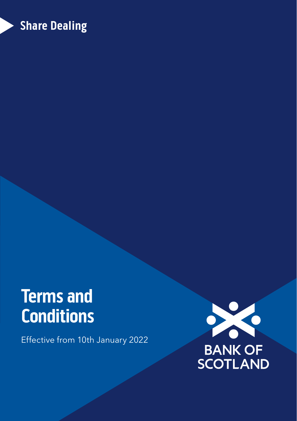## **Share Dealing**

# **Terms and Conditions**

Effective from 10th January 2022

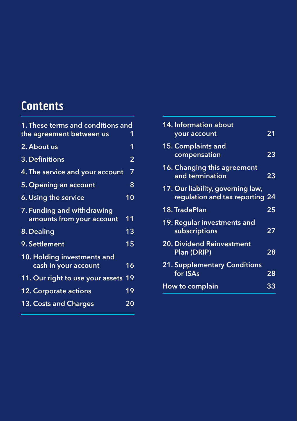## **Contents**

| <b>1. These terms and conditions and</b>                |                 |  |
|---------------------------------------------------------|-----------------|--|
| the agreement between us                                |                 |  |
| 2. About us                                             | 1               |  |
| 3. Definitions                                          | $\overline{2}$  |  |
| 4. The service and your account                         | 7               |  |
| 5. Opening an account                                   | 8               |  |
| 6. Using the service                                    | 10              |  |
| 7. Funding and withdrawing<br>amounts from your account | 11              |  |
| 8. Dealing                                              | 13              |  |
| 9. Settlement                                           | $\overline{1}5$ |  |
| 10. Holding investments and<br>cash in your account     | 16              |  |
| 11. Our right to use your assets                        | 19              |  |
| 12. Corporate actions                                   | 19              |  |
| 13. Costs and Charges                                   | 20              |  |
|                                                         |                 |  |

| 14. Information about<br>your account                                | 21 |
|----------------------------------------------------------------------|----|
| 15. Complaints and<br>compensation                                   | 23 |
| 16. Changing this agreement<br>and termination                       | 23 |
| 17. Our liability, governing law,<br>regulation and tax reporting 24 |    |
| 18. TradePlan                                                        | 25 |
| 19. Regular investments and<br>subscriptions                         | 27 |
| <b>20. Dividend Reinvestment</b><br><b>Plan (DRIP)</b>               | 28 |
| <b>21. Supplementary Conditions</b><br>for ISAs                      | 28 |
| How to complain                                                      | 33 |
|                                                                      |    |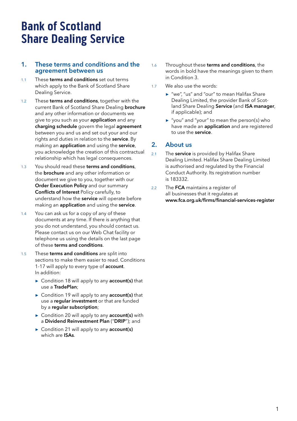## <span id="page-2-0"></span>**Bank of Scotland Share Dealing Service**

## 1. These terms and conditions and the agreement between us

- 1.1 These terms and conditions set out terms which apply to the Bank of Scotland Share Dealing Service.
- 1.2 These terms and conditions, together with the current Bank of Scotland Share Dealing brochure and any other information or documents we give to you such as your **application** and any charging schedule govern the legal agreement between you and us and set out your and our rights and duties in relation to the service. By making an application and using the service, you acknowledge the creation of this contractual relationship which has legal consequences.
- 1.3 You should read these terms and conditions. the **brochure** and any other information or document we give to you, together with our Order Execution Policy and our summary Conflicts of Interest Policy carefully, to understand how the service will operate before making an application and using the service.
- 1.4 You can ask us for a copy of any of these documents at any time. If there is anything that you do not understand, you should contact us. Please contact us on our Web Chat facility or telephone us using the details on the last page of these terms and conditions.
- 1.5 These terms and conditions are split into sections to make them easier to read. Conditions 1-17 will apply to every type of account. In addition:
	- **►** Condition 18 will apply to any account(s) that use a TradePlan;
	- **►** Condition 19 will apply to any account(s) that use a reqular investment or that are funded by a regular subscription:
	- **►** Condition 20 will apply to any account(s) with a Dividend Reinvestment Plan ("DRIP"); and
	- **►** Condition 21 will apply to any account(s) which are ISAs.
- 1.6 Throughout these terms and conditions, the words in bold have the meanings given to them in Condition 3.
- 1.7 We also use the words:
	- **►** "we", "us" and "our" to mean Halifax Share Dealing Limited, the provider Bank of Scotland Share Dealing Service (and ISA manager, if applicable); and
	- **►** "you" and "your" to mean the person(s) who have made an **application** and are registered to use the service.

## 2. About us

- 2.1 The **service** is provided by Halifax Share Dealing Limited. Halifax Share Dealing Limited is authorised and regulated by the Financial Conduct Authority. Its registration number is 183332.
- 2.2 The **FCA** maintains a register of all businesses that it regulates at www.fca.org.uk/firms/financial-services-register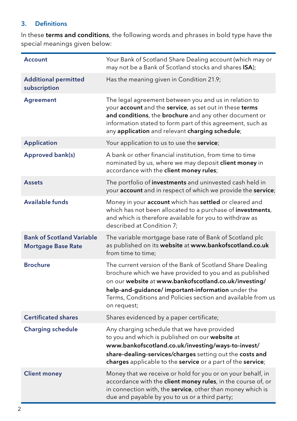## <span id="page-3-0"></span>3. Definitions

In these terms and conditions, the following words and phrases in bold type have the special meanings given below:

| <b>Account</b>                                                | Your Bank of Scotland Share Dealing account (which may or<br>may not be a Bank of Scotland stocks and shares ISA);                                                                                                                                                                                                |
|---------------------------------------------------------------|-------------------------------------------------------------------------------------------------------------------------------------------------------------------------------------------------------------------------------------------------------------------------------------------------------------------|
| <b>Additional permitted</b><br>subscription                   | Has the meaning given in Condition 21.9;                                                                                                                                                                                                                                                                          |
| <b>Agreement</b>                                              | The legal agreement between you and us in relation to<br>your account and the service, as set out in these terms<br>and conditions, the brochure and any other document or<br>information stated to form part of this agreement, such as<br>any application and relevant charging schedule;                       |
| <b>Application</b>                                            | Your application to us to use the service;                                                                                                                                                                                                                                                                        |
| Approved bank(s)                                              | A bank or other financial institution, from time to time<br>nominated by us, where we may deposit client money in<br>accordance with the client money rules;                                                                                                                                                      |
| <b>Assets</b>                                                 | The portfolio of investments and uninvested cash held in<br>your account and in respect of which we provide the service;                                                                                                                                                                                          |
| Available funds                                               | Money in your <b>account</b> which has <b>settled</b> or cleared and<br>which has not been allocated to a purchase of investments,<br>and which is therefore available for you to withdraw as<br>described at Condition 7;                                                                                        |
| <b>Bank of Scotland Variable</b><br><b>Mortgage Base Rate</b> | The variable mortgage base rate of Bank of Scotland plc<br>as published on its website at www.bankofscotland.co.uk<br>from time to time:                                                                                                                                                                          |
| <b>Brochure</b>                                               | The current version of the Bank of Scotland Share Dealing<br>brochure which we have provided to you and as published<br>on our website at www.bankofscotland.co.uk/investing/<br>help-and-guidance/important-information under the<br>Terms, Conditions and Policies section and available from us<br>on request; |
| <b>Certificated shares</b>                                    | Shares evidenced by a paper certificate;                                                                                                                                                                                                                                                                          |
| <b>Charging schedule</b>                                      | Any charging schedule that we have provided<br>to you and which is published on our website at<br>www.bankofscotland.co.uk/investing/ways-to-invest/<br>share-dealing-services/charges setting out the costs and<br>charges applicable to the service or a part of the service;                                   |
| <b>Client money</b>                                           | Money that we receive or hold for you or on your behalf, in<br>accordance with the client money rules, in the course of, or<br>in connection with, the service, other than money which is<br>due and payable by you to us or a third party;                                                                       |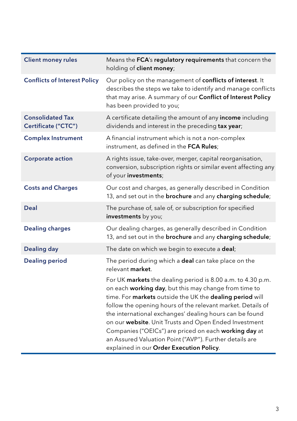| <b>Client money rules</b>                      | Means the FCA's regulatory requirements that concern the<br>holding of client money;                                                                                                                                                                                                                                                                                                                                                                                                                                                |
|------------------------------------------------|-------------------------------------------------------------------------------------------------------------------------------------------------------------------------------------------------------------------------------------------------------------------------------------------------------------------------------------------------------------------------------------------------------------------------------------------------------------------------------------------------------------------------------------|
| <b>Conflicts of Interest Policy</b>            | Our policy on the management of <b>conflicts of interest</b> . It<br>describes the steps we take to identify and manage conflicts<br>that may arise. A summary of our Conflict of Interest Policy<br>has been provided to you;                                                                                                                                                                                                                                                                                                      |
| <b>Consolidated Tax</b><br>Certificate ("CTC") | A certificate detailing the amount of any income including<br>dividends and interest in the preceding tax year;                                                                                                                                                                                                                                                                                                                                                                                                                     |
| <b>Complex Instrument</b>                      | A financial instrument which is not a non-complex<br>instrument, as defined in the FCA Rules;                                                                                                                                                                                                                                                                                                                                                                                                                                       |
| <b>Corporate action</b>                        | A rights issue, take-over, merger, capital reorganisation,<br>conversion, subscription rights or similar event affecting any<br>of your investments;                                                                                                                                                                                                                                                                                                                                                                                |
| <b>Costs and Charges</b>                       | Our cost and charges, as generally described in Condition<br>13, and set out in the brochure and any charging schedule;                                                                                                                                                                                                                                                                                                                                                                                                             |
| Deal                                           | The purchase of, sale of, or subscription for specified<br>investments by you;                                                                                                                                                                                                                                                                                                                                                                                                                                                      |
| <b>Dealing charges</b>                         | Our dealing charges, as generally described in Condition<br>13, and set out in the brochure and any charging schedule;                                                                                                                                                                                                                                                                                                                                                                                                              |
| <b>Dealing day</b>                             | The date on which we begin to execute a deal;                                                                                                                                                                                                                                                                                                                                                                                                                                                                                       |
| <b>Dealing period</b>                          | The period during which a deal can take place on the<br>relevant <b>market</b> .                                                                                                                                                                                                                                                                                                                                                                                                                                                    |
|                                                | For UK markets the dealing period is 8.00 a.m. to 4.30 p.m.<br>on each working day, but this may change from time to<br>time. For markets outside the UK the dealing period will<br>follow the opening hours of the relevant market. Details of<br>the international exchanges' dealing hours can be found<br>on our website. Unit Trusts and Open Ended Investment<br>Companies ("OEICs") are priced on each working day at<br>an Assured Valuation Point ("AVP"). Further details are<br>explained in our Order Execution Policy. |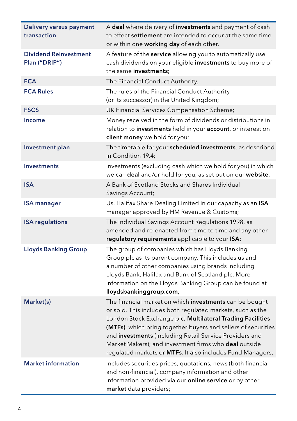| Delivery versus payment<br>transaction        | A deal where delivery of investments and payment of cash<br>to effect settlement are intended to occur at the same time<br>or within one working day of each other.                                                                                                                                                                                                                                                                    |
|-----------------------------------------------|----------------------------------------------------------------------------------------------------------------------------------------------------------------------------------------------------------------------------------------------------------------------------------------------------------------------------------------------------------------------------------------------------------------------------------------|
| <b>Dividend Reinvestment</b><br>Plan ("DRIP") | A feature of the service allowing you to automatically use<br>cash dividends on your eligible investments to buy more of<br>the same investments;                                                                                                                                                                                                                                                                                      |
| <b>FCA</b>                                    | The Financial Conduct Authority;                                                                                                                                                                                                                                                                                                                                                                                                       |
| <b>FCA Rules</b>                              | The rules of the Financial Conduct Authority<br>(or its successor) in the United Kingdom;                                                                                                                                                                                                                                                                                                                                              |
| <b>FSCS</b>                                   | UK Financial Services Compensation Scheme;                                                                                                                                                                                                                                                                                                                                                                                             |
| <b>Income</b>                                 | Money received in the form of dividends or distributions in<br>relation to investments held in your account, or interest on<br>client money we hold for you;                                                                                                                                                                                                                                                                           |
| Investment plan                               | The timetable for your scheduled investments, as described<br>in Condition 19.4;                                                                                                                                                                                                                                                                                                                                                       |
| <b>Investments</b>                            | Investments (excluding cash which we hold for you) in which<br>we can deal and/or hold for you, as set out on our website;                                                                                                                                                                                                                                                                                                             |
| <b>ISA</b>                                    | A Bank of Scotland Stocks and Shares Individual<br>Savings Account;                                                                                                                                                                                                                                                                                                                                                                    |
| <b>ISA manager</b>                            | Us, Halifax Share Dealing Limited in our capacity as an ISA<br>manager approved by HM Revenue & Customs;                                                                                                                                                                                                                                                                                                                               |
| <b>ISA regulations</b>                        | The Individual Savings Account Regulations 1998, as<br>amended and re-enacted from time to time and any other<br>regulatory requirements applicable to your ISA;                                                                                                                                                                                                                                                                       |
| <b>Lloyds Banking Group</b>                   | The group of companies which has Lloyds Banking<br>Group plc as its parent company. This includes us and<br>a number of other companies using brands including<br>Lloyds Bank, Halifax and Bank of Scotland plc. More<br>information on the Lloyds Banking Group can be found at<br>lloydsbankinggroup.com;                                                                                                                            |
| Market(s)                                     | The financial market on which investments can be bought<br>or sold. This includes both regulated markets, such as the<br>London Stock Exchange plc; Multilateral Trading Facilities<br>(MTFs), which bring together buyers and sellers of securities<br>and investments (including Retail Service Providers and<br>Market Makers); and investment firms who deal outside<br>regulated markets or MTFs. It also includes Fund Managers; |
| <b>Market information</b>                     | Includes securities prices, quotations, news (both financial<br>and non-financial), company information and other<br>information provided via our <b>online service</b> or by other<br>market data providers;                                                                                                                                                                                                                          |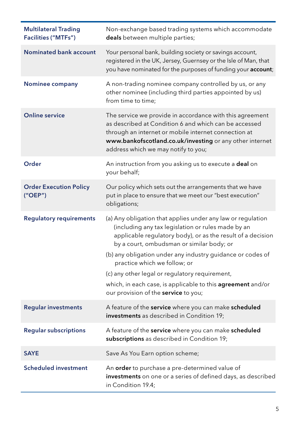| <b>Multilateral Trading</b><br><b>Facilities ("MTFs")</b> | Non-exchange based trading systems which accommodate<br>deals between multiple parties;                                                                                                                                                                                                                                                                                                                                                                                              |
|-----------------------------------------------------------|--------------------------------------------------------------------------------------------------------------------------------------------------------------------------------------------------------------------------------------------------------------------------------------------------------------------------------------------------------------------------------------------------------------------------------------------------------------------------------------|
| <b>Nominated bank account</b>                             | Your personal bank, building society or savings account,<br>registered in the UK, Jersey, Guernsey or the Isle of Man, that<br>you have nominated for the purposes of funding your account;                                                                                                                                                                                                                                                                                          |
| Nominee company                                           | A non-trading nominee company controlled by us, or any<br>other nominee (including third parties appointed by us)<br>from time to time;                                                                                                                                                                                                                                                                                                                                              |
| <b>Online service</b>                                     | The service we provide in accordance with this agreement<br>as described at Condition 6 and which can be accessed<br>through an internet or mobile internet connection at<br>www.bankofscotland.co.uk/investing or any other internet<br>address which we may notify to you;                                                                                                                                                                                                         |
| Order                                                     | An instruction from you asking us to execute a <b>deal</b> on<br>your behalf;                                                                                                                                                                                                                                                                                                                                                                                                        |
| <b>Order Execution Policy</b><br>("OEP")                  | Our policy which sets out the arrangements that we have<br>put in place to ensure that we meet our "best execution"<br>obligations;                                                                                                                                                                                                                                                                                                                                                  |
| <b>Regulatory requirements</b>                            | (a) Any obligation that applies under any law or regulation<br>(including any tax legislation or rules made by an<br>applicable regulatory body), or as the result of a decision<br>by a court, ombudsman or similar body; or<br>(b) any obligation under any industry guidance or codes of<br>practice which we follow; or<br>(c) any other legal or regulatory requirement,<br>which, in each case, is applicable to this agreement and/or<br>our provision of the service to you; |
| <b>Regular investments</b>                                | A feature of the service where you can make scheduled<br>investments as described in Condition 19;                                                                                                                                                                                                                                                                                                                                                                                   |
| <b>Regular subscriptions</b>                              | A feature of the service where you can make scheduled<br>subscriptions as described in Condition 19;                                                                                                                                                                                                                                                                                                                                                                                 |
| <b>SAYE</b>                                               | Save As You Earn option scheme;                                                                                                                                                                                                                                                                                                                                                                                                                                                      |
| <b>Scheduled investment</b>                               | An order to purchase a pre-determined value of<br>investments on one or a series of defined days, as described<br>in Condition 19.4;                                                                                                                                                                                                                                                                                                                                                 |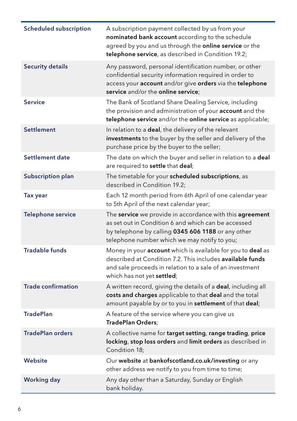| <b>Scheduled subscription</b> | A subscription payment collected by us from your<br>nominated bank account according to the schedule<br>agreed by you and us through the online service or the<br>telephone service, as described in Condition 19.2;       |
|-------------------------------|----------------------------------------------------------------------------------------------------------------------------------------------------------------------------------------------------------------------------|
| <b>Security details</b>       | Any password, personal identification number, or other<br>confidential security information required in order to<br>access your account and/or give orders via the telephone<br>service and/or the online service:         |
| <b>Service</b>                | The Bank of Scotland Share Dealing Service, including<br>the provision and administration of your account and the<br>telephone service and/or the online service as applicable;                                            |
| Settlement                    | In relation to a deal, the delivery of the relevant<br>investments to the buyer by the seller and delivery of the<br>purchase price by the buyer to the seller;                                                            |
| Settlement date               | The date on which the buyer and seller in relation to a <b>deal</b><br>are required to settle that deal;                                                                                                                   |
| <b>Subscription plan</b>      | The timetable for your scheduled subscriptions, as<br>described in Condition 19.2;                                                                                                                                         |
| Tax year                      | Each 12 month period from 6th April of one calendar year<br>to 5th April of the next calendar year;                                                                                                                        |
| <b>Telephone service</b>      | The service we provide in accordance with this agreement<br>as set out in Condition 6 and which can be accessed<br>by telephone by calling 0345 606 1188 or any other<br>telephone number which we may notify to you;      |
| <b>Tradable funds</b>         | Money in your account which is available for you to deal as<br>described at Condition 7.2. This includes available funds<br>and sale proceeds in relation to a sale of an investment<br>which has not yet <b>settled</b> ; |
| <b>Trade confirmation</b>     | A written record, giving the details of a deal, including all<br>costs and charges applicable to that deal and the total<br>amount payable by or to you in settlement of that deal;                                        |
| <b>TradePlan</b>              | A feature of the service where you can give us<br>TradePlan Orders;                                                                                                                                                        |
| <b>TradePlan orders</b>       | A collective name for target setting, range trading, price<br>locking, stop loss orders and limit orders as described in<br>Condition 18;                                                                                  |
| <b>Website</b>                | Our website at bankofscotland.co.uk/investing or any<br>other address we notify to you from time to time;                                                                                                                  |
| <b>Working day</b>            | Any day other than a Saturday, Sunday or English<br>bank holiday.                                                                                                                                                          |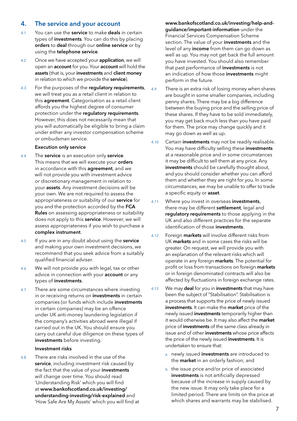## <span id="page-8-0"></span>4. The service and your account

- 4.1 You can use the **service** to make **deals** in certain types of investments. You can do this by placing orders to deal through our online service or by using the telephone service.
- 4.2 Once we have accepted your **application**, we will open an account for you. Your account will hold the assets (that is, your investments and client money in relation to which we provide the service).
- 4.3 For the purposes of the regulatory requirements, we will treat you as a retail client in relation to this agreement. Categorisation as a retail client affords you the highest degree of consumer protection under the regulatory requirements. However, this does not necessarily mean that you will automatically be eligible to bring a claim under either any investor compensation scheme or ombudsman service.

## Execution only service

- 4.4 The **service** is an execution only **service**. This means that we will execute your orders in accordance with this **agreement**, and we will not provide you with investment advice or discretionary management in relation to your assets. Any investment decisions will be your own. We are not required to assess the appropriateness or suitability of our service for you and the protection accorded by the FCA Rules on assessing appropriateness or suitability does not apply to this service. However, we will assess appropriateness if you wish to purchase a complex instrument.
- 4.5 If you are in any doubt about using the service and making your own investment decisions, we recommend that you seek advice from a suitably qualified financial adviser.
- 4.6 We will not provide you with legal, tax or other advice in connection with your **account** or any types of investments.
- 4.7 There are some circumstances where investing in or receiving returns on **investments** in certain companies (or funds which include investments in certain companies) may be an offence under UK anti-money laundering legislation if the company's activities abroad were illegal if carried out in the UK. You should ensure you carry out careful due diligence on these types of investments before investing.

#### Investment risks

4.8 There are risks involved in the use of the service, including investment risk caused by the fact that the value of your investments will change over time. You should read 'Understanding Risk' which you will find at [www.bankofscotland.co.uk/investing/](http://www.bankofscotland.co.uk/investing/understanding-investing/risk-explained) [understanding-investing/risk-explained](http://www.bankofscotland.co.uk/investing/understanding-investing/risk-explained) and 'How Safe Are My Assets' which you will find at [www.bankofscotland.co.uk/investing/help-and](http://www.bankofscotland.co.uk/investing/help-and-guidance/important-information)[guidance/important-information](http://www.bankofscotland.co.uk/investing/help-and-guidance/important-information) under the Financial Services Compensation Scheme section. The value of your investments and the level of any *income* from them can go down as well as up. You may not get back the full amount you have invested. You should also remember that past performance of *investments* is not an indication of how those investments might perform in the future.

- 4.9 There is an extra risk of losing money when shares are bought in some smaller companies, including penny shares. There may be a big difference between the buying price and the selling price of these shares. If they have to be sold immediately, you may get back much less than you have paid for them. The price may change quickly and it may go down as well as up.
- 4.10 Certain investments may not be readily realisable. You may have difficulty selling these investments at a reasonable price and in some circumstances it may be difficult to sell them at any price. Any investments should be carefully thought about, and you should consider whether you can afford them and whether they are right for you. In some circumstances, we may be unable to offer to trade a specific equity or **asset**.
- 4.11 Where you invest in overseas **investments**, there may be different settlement, legal and regulatory requirements to those applying in the UK and also different practices for the separate identification of those investments.
- 4.12 Foreign markets will involve different risks from UK markets and in some cases the risks will be greater. On request, we will provide you with an explanation of the relevant risks which will operate in any foreign markets. The potential for profit or loss from transactions on foreign markets or in foreign denominated contracts will also be affected by fluctuations in foreign exchange rates.
- 4.13 We may **deal** for you in **investments** that may have been the subject of "Stabilisation". Stabilisation is a process that supports the price of newly issued investments. It can make the market price of the newly issued investments temporarily higher than it would otherwise be. It may also affect the market price of **investments** of the same class already in issue and of other **investments** whose price affects the price of the newly issued investments. It is undertaken to ensure that:
	- a. newly issued investments are introduced to the **market** in an orderly fashion; and
	- b. the issue price and/or price of associated investments is not artificially depressed because of the increase in supply caused by the new issue. It may only take place for a limited period. There are limits on the price at which shares and warrants may be stabilised.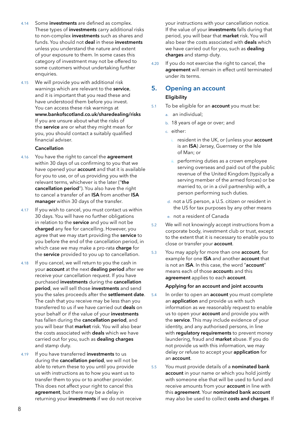- <span id="page-9-0"></span>4.14 Some investments are defined as complex. These types of *investments* carry additional risks to non-complex investments such as shares and funds. You should not deal in these investments unless you understand the nature and extent of your exposure to them. In some cases this category of investment may not be offered to some customers without undertaking further enquiries.
- 4.15 We will provide you with additional risk warnings which are relevant to the service, and it is important that you read these and have understood them before you invest. You can access these risk warnings at www.bankofscotland.co.uk/sharedealing/risks If you are unsure about what the risks of the service are or what they might mean for you, you should contact a suitably qualified financial adviser.

## Cancellation

- 4.16 You have the right to cancel the **agreement** within 30 days of us confirming to you that we have opened your **account** and that it is available for you to use, or of us providing you with the relevant terms, whichever is the later ("the cancellation period"). You also have the right to cancel a transfer of an ISA from another ISA manager within 30 days of the transfer.
- 4.17 If you wish to cancel, you must contact us within 30 days. You will have no further obligations in relation to the service and you will not be charged any fee for cancelling. However, you agree that we may start providing the service to you before the end of the cancellation period, in which case we may make a pro-rata **charge** for the service provided to you up to cancellation.
- 4.18 If you cancel, we will return to you the cash in your account at the next dealing period after we receive your cancellation request. If you have purchased investments during the cancellation period, we will sell those investments and send you the sales proceeds after the settlement date. The cash that you receive may be less than you transferred to us if we have carried out deals on your behalf or if the value of your investments has fallen during the cancellation period, and you will bear that market risk. You will also bear the costs associated with deals which we have carried out for you, such as dealing charges and stamp duty.
- 4.19 If you have transferred investments to us during the **cancellation period**, we will not be able to return these to you until you provide us with instructions as to how you want us to transfer them to you or to another provider. This does not affect your right to cancel this agreement, but there may be a delay in returning your investments if we do not receive

your instructions with your cancellation notice. If the value of your investments falls during that period, you will bear that market risk. You will also bear the costs associated with **deals** which we have carried out for you, such as dealing charges and stamp duty.

4.20 If you do not exercise the right to cancel, the agreement will remain in effect until terminated under its terms.

## 5. Opening an account **Eligibility**

- 5.1 To be eligible for an **account** you must be:
	- a. an individual;
	- b. 18 years of age or over; and
	- c. either:
		- i. resident in the UK, or (unless your account is an ISA) Jersey, Guernsey or the Isle of Man; or
		- ii. performing duties as a crown employee serving overseas and paid out of the public revenue of the United Kingdom (typically a serving member of the armed forces) or be married to, or in a civil partnership with, a person performing such duties.
		- d. not a US person, a U.S. citizen or resident in the US for tax purposes by any other means
		- e. not a resident of Canada
- 5.2 We will not knowingly accept instructions from a corporate body, investment club or trust, except to the extent that it is necessary to enable you to close or transfer your **account**.
- 5.3 You may apply for more than one **account**, for example for one ISA and another account that is not an ISA. In this case, the word "account" means each of those **account**s and this agreement applies to each account.

## Applying for an account and joint accounts

- 5.4 In order to open an **account** you must complete an **application** and provide us with such information as we reasonably request to enable us to open your **account** and provide you with the service. This may include evidence of your identity, and any authorised persons, in line with requlatory requirements to prevent money laundering, fraud and market abuse. If you do not provide us with this information, we may delay or refuse to accept your **application** for an account.
- 5.5 You must provide details of a nominated bank account in your name or which you hold jointly with someone else that will be used to fund and receive amounts from your account in line with this agreement. Your nominated bank account may also be used to collect costs and charges. If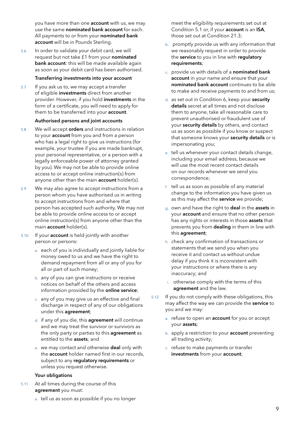you have more than one **account** with us, we may use the same nominated bank account for each. All payments to or from your nominated bank account will be in Pounds Sterling.

5.6 In order to validate your debit card, we will request but not take £1 from your nominated bank account: this will be made available again as soon as your debit card has been authorised.

#### Transferring investments into your account

5.7 If you ask us to, we may accept a transfer of eligible investments direct from another provider. However, if you hold investments in the form of a certificate, you will need to apply for them to be transferred into your account.

#### Authorised persons and joint accounts

- 5.8 We will accept orders and instructions in relation to your **account** from you and from a person who has a legal right to give us instructions (for example, your trustee if you are made bankrupt, your personal representative, or a person with a legally enforceable power of attorney granted by you). We may not be able to provide online access to or accept online instruction(s) from anyone other than the main **account** holder(s).
- 5.9 We may also agree to accept instructions from a person whom you have authorised us in writing to accept instructions from and where that person has accepted such authority. We may not be able to provide online access to or accept online instruction(s) from anyone other than the main account holder(s).
- 5.10 If your **account** is held jointly with another person or persons:
	- a. each of you is individually and jointly liable for money owed to us and we have the right to demand repayment from all or any of you for all or part of such money;
	- b. any of you can give instructions or receive notices on behalf of the others and access information provided by the online service;
	- c. any of you may give us an effective and final discharge in respect of any of our obligations under this agreement;
	- d. if any of you die, this agreement will continue and we may treat the survivor or survivors as the only party or parties to this **agreement** as entitled to the assets; and
	- e. we may contact and otherwise deal only with the account holder named first in our records, subject to any regulatory requirements or unless you request otherwise.

## Your obligations

5.11 At all times during the course of this agreement you must:

- meet the eligibility requirements set out at Condition 5.1 or, if your account is an ISA, those set out at Condition 21.3;
- b. promptly provide us with any information that we reasonably request in order to provide the service to you in line with regulatory requirements;
- c. provide us with details of a nominated bank account in your name and ensure that your nominated bank account continues to be able to make and receive payments to and from us;
- d. as set out in Condition 6, keep your security details secret at all times and not disclose them to anyone, take all reasonable care to prevent unauthorised or fraudulent use of your security details by others, and contact us as soon as possible if you know or suspect that someone knows your security details or is impersonating you;
- e. tell us whenever your contact details change, including your email address, because we will use the most recent contact details on our records whenever we send you correspondence;
- f. tell us as soon as possible of any material change to the information you have given us as this may affect the service we provide;
- g. own and have the right to deal in the assets in your account and ensure that no other person has any rights or interests in those assets that prevents you from dealing in them in line with this agreement;
- h. check any confirmation of transactions or statements that we send you when you receive it and contact us without undue delay if you think it is inconsistent with your instructions or where there is any inaccuracy; and
- i. otherwise comply with the terms of this agreement and the law.
- 5.12 If you do not comply with these obligations, this may affect the way we can provide the service to you and we may:
	- a. refuse to open an **account** for you or accept your assets;
	- b. apply a restriction to your **account** preventing all trading activity;
	- c. refuse to make payments or transfer investments from your account;

a. tell us as soon as possible if you no longer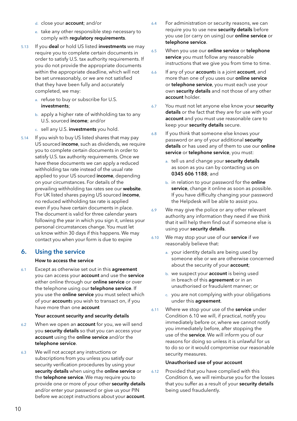- <span id="page-11-0"></span>d. close your account; and/or
- e. take any other responsible step necessary to comply with regulatory requirements.
- 5.13 If you deal or hold US listed investments we may require you to complete certain documents in order to satisfy U.S. tax authority requirements. If you do not provide the appropriate documents within the appropriate deadline, which will not be set unreasonably, or we are not satisfied that they have been fully and accurately completed, we may:
	- a. refuse to buy or subscribe for U.S. investments;
	- b. apply a higher rate of withholding tax to any U.S. sourced income; and/or
	- c. sell any U.S. investments you hold.
- 5.14 If you wish to buy US listed shares that may pay US sourced income, such as dividends, we require you to complete certain documents in order to satisfy U.S. tax authority requirements. Once we have these documents we can apply a reduced withholding tax rate instead of the usual rate applied to your US sourced income, depending on your circumstances. For details of the prevailing withholding tax rates see our website. For UK listed shares paying US sourced income, no reduced withholding tax rate is applied even if you have certain documents in place. The document is valid for three calendar years following the year in which you sign it, unless your personal circumstances change. You must let us know within 30 days if this happens. We may contact you when your form is due to expire

## 6. Using the service

## How to access the service

6.1 Except as otherwise set out in this **agreement** you can access your **account** and use the service either online through our **online service** or over the telephone using our telephone service. If you use the **online service** you must select which of your accounts you wish to transact on, if you have more than one **account** 

## Your account security and security details

- 6.2 When we open an **account** for you, we will send you security details so that you can access your account using the online service and/or the telephone service.
- 6.3 We will not accept any instructions or subscriptions from you unless you satisfy our security verification procedures by using your security details when using the online service or the telephone service. We may require you to provide one or more of your other security details and/or enter your password or give us your PIN before we accept instructions about your **account**.
- 6.4 For administration or security reasons, we can require you to use new security details before you use (or carry on using) our online service or telephone service.
- 6.5 When you use our online service or telephone service you must follow any reasonable instructions that we give you from time to time.
- 6.6 If any of your accounts is a joint account, and more than one of you uses our **online service** or telephone service, you must each use your own security details and not those of any other account holder.
- 6.7 You must not let anyone else know your security details or the fact that they are for use with your account and you must use reasonable care to keep your security details secure.
- 6.8 If you think that someone else knows your password or any of your additional security details or has used any of them to use our online service or telephone service, you must:
	- a. tell us and change your security details as soon as you can by contacting us on 0345 606 1188; and
	- b. in relation to your password for the online service, change it online as soon as possible. If you have difficulty changing your password the Helpdesk will be able to assist you.
- 6.9 We may give the police or any other relevant authority any information they need if we think that it will help them find out if someone else is using your security details.
- 6.10 We may stop your use of our **service** if we reasonably believe that:
	- a. your identity details are being used by someone else or we are otherwise concerned about the security of your **account**;
	- b. we suspect your **account** is being used in breach of this **agreement** or in an unauthorised or fraudulent manner; or
	- c. you are not complying with your obligations under this agreement.
- 6.11 Where we stop your use of the service under Condition 6.10 we will, if practical, notify you immediately before or, where we cannot notify you immediately before, after stopping the use of the service. We will inform you of our reasons for doing so unless it is unlawful for us to do so or it would compromise our reasonable security measures.

## Unauthorised use of your account

6.12 Provided that you have complied with this Condition 6, we will reimburse you for the losses that you suffer as a result of your security details being used fraudulently.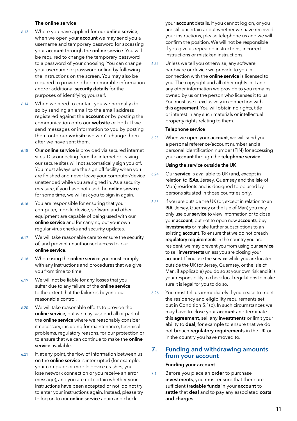#### The online service

- <span id="page-12-0"></span>6.13 Where you have applied for our online service, when we open your **account** we may send you a username and temporary password for accessing your account through the online service. You will be required to change the temporary password to a password of your choosing. You can change your username or password online by following the instructions on the screen. You may also be required to provide other memorable information and/or additional security details for the purposes of identifying yourself.
- 6.14 When we need to contact you we normally do so by sending an email to the email address registered against the **account** or by posting the communication onto our website or both. If we send messages or information to you by posting them onto our website we won't change them after we have sent them.
- 6.15 Our online service is provided via secured internet sites. Disconnecting from the internet or leaving our secure sites will not automatically sign you off. You must always use the sign off facility when you are finished and never leave your computer/device unattended while you are signed in. As a security measure, if you have not used the **online service** for some time, we will ask you to sign in again.
- 6.16 You are responsible for ensuring that your computer, mobile device, software and other equipment are capable of being used with our online service and for carrying out your own regular virus checks and security updates.
- 6.17 We will take reasonable care to ensure the security of, and prevent unauthorised access to, our online service.
- 6.18 When using the **online service** you must comply with any instructions and procedures that we give you from time to time.
- 6.19 We will not be liable for any losses that you suffer due to any failure of the **online service** to the extent that the failure is beyond our reasonable control.
- 6.20 We will take reasonable efforts to provide the online service, but we may suspend all or part of the **online service** where we reasonably consider it necessary, including for maintenance, technical problems, regulatory reasons, for our protection or to ensure that we can continue to make the **online** service available.
- 6.21 If, at any point, the flow of information between us on the **online service** is interrupted (for example, your computer or mobile device crashes, you lose network connection or you receive an error message), and you are not certain whether your instructions have been accepted or not, do not try to enter your instructions again. Instead, please try to log on to our **online service** again and check

your account details. If you cannot log on, or you are still uncertain about whether we have received your instructions, please telephone us and we will confirm the position. We will not be responsible if you give us repeated instructions, incorrect instructions or mistaken instructions.

6.22 Unless we tell you otherwise, any software, hardware or device we provide to you in connection with the online service is licensed to you. The copyright and all other rights in it and any other information we provide to you remains owned by us or the person who licenses it to us. You must use it exclusively in connection with this **agreement**. You will obtain no rights, title or interest in any such materials or intellectual property rights relating to them.

## Telephone service

6.23 When we open your **account**, we will send you a personal reference/account number and a personal identification number (PIN) for accessing your account through the telephone service.

#### Using the service outside the UK

- 6.24 Our service is available to UK (and, except in relation to **ISAs**, Jersey, Guernsey and the Isle of Man) residents and is designed to be used by persons situated in those countries only.
- 6.25 If you are outside the UK (or, except in relation to an ISA, Jersey, Guernsey or the Isle of Man) you may only use our **service** to view information or to close your **account**, but not to open new **accounts**, buy investments or make further subscriptions to an existing **account**. To ensure that we do not breach requlatory requirements in the country you are resident, we may prevent you from using our service to sell investments unless you are closing your account. If you use the service while you are located outside the UK (or Jersey, Guernsey, or the Isle of Man, if applicable) you do so at your own risk and it is your responsibility to check local regulations to make sure it is legal for you to do so.
- 6.26 You must tell us immediately if you cease to meet the residency and eligibility requirements set out in Condition 5.1(c). In such circumstances we may have to close your **account** and terminate this agreement, sell any investments or limit your ability to **deal**, for example to ensure that we do not breach regulatory requirements in the UK or in the country you have moved to.

## 7. Funding and withdrawing amounts from your account

#### Funding your account

7.1 Before you place an **order** to purchase investments, you must ensure that there are sufficient **tradable funds** in your **account** to settle that deal and to pay any associated costs and charges.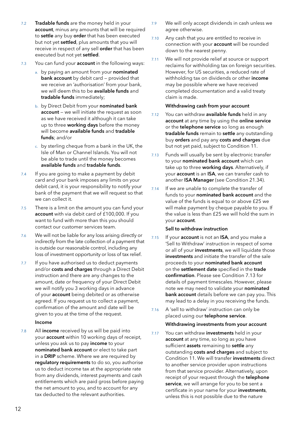- <span id="page-13-0"></span>7.2 Tradable funds are the money held in your account, minus any amounts that will be required to settle any buy order that has been executed but not yet settled, plus amounts that you will receive in respect of any sell **order** that has been executed but not yet settled.
- 7.3 You can fund your **account** in the following ways:
	- a. by paying an amount from your nominated bank account by debit card – provided that we receive an 'authorisation' from your bank, we will deem this to be available funds and tradable funds immediately;
	- b. by Direct Debit from your nominated bank account – we will initiate the request as soon as we have received it although it can take up to three working days before the money will become available funds and tradable funds; and/or
	- c. by sterling cheque from a bank in the UK, the Isle of Man or Channel Islands. You will not be able to trade until the money becomes available funds and tradable funds.
- 7.4 If you are going to make a payment by debit card and your bank imposes any limits on your debit card, it is your responsibility to notify your bank of the payment that we will request so that we can collect it.
- 7.5 There is a limit on the amount you can fund your account with via debit card of £100,000. If you want to fund with more than this you should contact our customer services team.
- 7.6 We will not be liable for any loss arising directly or indirectly from the late collection of a payment that is outside our reasonable control, including any loss of investment opportunity or loss of tax relief.
- 7.7 If you have authorised us to deduct payments and/or costs and charges through a Direct Debit instruction and there are any changes to the amount, date or frequency of your Direct Debit we will notify you 3 working days in advance of your **account** being debited or as otherwise agreed. If you request us to collect a payment, confirmation of the amount and date will be given to you at the time of the request.

## Income

7.8 All income received by us will be paid into your account within 10 working days of receipt, unless you ask us to pay *income* to your nominated bank account or elect to take part in a DRIP scheme. Where we are required by regulatory requirements to do so, you authorise us to deduct income tax at the appropriate rate from any dividends, interest payments and cash entitlements which are paid gross before paying the net amount to you, and to account for any tax deducted to the relevant authorities.

- 7.9 We will only accept dividends in cash unless we agree otherwise.
- 7.10 Any cash that you are entitled to receive in connection with your account will be rounded down to the nearest penny.
- 7.11 We will not provide relief at source or support reclaims for withholding tax on foreign securities. However, for US securities, a reduced rate of withholding tax on dividends or other income may be possible where we have received completed documentation and a valid treaty claim is made.

## Withdrawing cash from your account

- 7.12 You can withdraw available funds held in any account at any time by using the online service or the telephone service so long as enough tradable funds remain to settle any outstanding buy orders and pay any costs and charges due but not yet paid, subject to Condition 11.
- 7.13 Funds will usually be sent by electronic transfer to your nominated bank account which can take up to three working days. Alternatively, if your account is an ISA, we can transfer cash to another ISA Manager (see Condition 21.34).
- 7.14 If we are unable to complete the transfer of funds to your nominated bank account and the value of the funds is equal to or above £25 we will make payment by cheque payable to you. If the value is less than £25 we will hold the sum in your account.

## Sell to withdraw instruction

- 7.15 If your **account** is not an **ISA**, and you make a 'Sell to Withdraw' instruction in respect of some or all of your investments, we will liquidate those investments and initiate the transfer of the sale proceeds to your nominated bank account on the settlement date specified in the trade confirmation. Please see Condition 7.13 for details of payment timescales. However, please note we may need to validate your nominated bank account details before we can pay you. This may lead to a delay in you receiving the funds.
- 7.16 A 'sell to withdraw' instruction can only be placed using our telephone service.

#### Withdrawing investments from your account

7.17 You can withdraw **investments** held in your account at any time, so long as you have sufficient assets remaining to settle any outstanding costs and charges and subject to Condition 11. We will transfer investments direct to another service provider upon instructions from that service provider. Alternatively, upon receipt of your request through the telephone service, we will arrange for you to be sent a certificate in your name for your investments, unless this is not possible due to the nature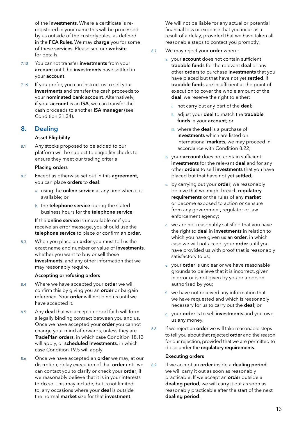of the investments. Where a certificate is reregistered in your name this will be processed by us outside of the custody rules, as defined in the FCA Rules. We may charge you for some of these services. Please see our website for details.

- 7.18 You cannot transfer investments from your account until the investments have settled in your account.
- 7.19 If you prefer, you can instruct us to sell your investments and transfer the cash proceeds to your nominated bank account. Alternatively, if your account is an ISA, we can transfer the cash proceeds to another ISA manager (see Condition 21.34).

## 8. Dealing

## Asset Eligibility

8.1 Any stocks proposed to be added to our platform will be subject to eligibility checks to ensure they meet our trading criteria

## Placing orders

- 8.2 Except as otherwise set out in this **agreement**, you can place orders to deal:
	- a. using the **online service** at any time when it is available; or
	- b. the telephone service during the stated business hours for the telephone service.

If the **online service** is unavailable or if you receive an error message, you should use the telephone service to place or confirm an order.

8.3 When you place an **order** you must tell us the exact name and number or value of **investments**. whether you want to buy or sell those investments, and any other information that we may reasonably require.

## Accepting or refusing orders

- 8.4 Where we have accepted your order we will confirm this by giving you an **order** or bargain reference. Your order will not bind us until we have accepted it.
- 8.5 Any deal that we accept in good faith will form a legally binding contract between you and us. Once we have accepted your order you cannot change your mind afterwards, unless they are TradePlan orders, in which case Condition 18.13 will apply, or scheduled investments, in which case Condition 19.5 will apply.
- 8.6 Once we have accepted an order we may, at our discretion, delay execution of that order until we can contact you to clarify or check your order, if we reasonably believe that it is in your interests to do so. This may include, but is not limited to, any occasions where your deal is outside the normal market size for that investment.

We will not be liable for any actual or potential financial loss or expense that you incur as a result of a delay, provided that we have taken all reasonable steps to contact you promptly.

- 8.7 We may reject your order where:
	- a. your account does not contain sufficient tradable funds for the relevant deal or any other orders to purchase investments that you have placed but that have not yet settled. If tradable funds are insufficient at the point of execution to cover the whole amount of the deal, we reserve the right to either:
		- not carry out any part of the deal;
		- ii. adjust your deal to match the tradable funds in your account; or
		- iii. where the **deal** is a purchase of investments which are listed on international markets, we may proceed in accordance with Condition 8.22;
	- b. your account does not contain sufficient investments for the relevant deal and for any other orders to sell investments that you have placed but that have not yet settled;
	- c. by carrying out your order, we reasonably believe that we might breach regulatory requirements or the rules of any market or become exposed to action or censure from any government, regulator or law enforcement agency;
	- d. we are not reasonably satisfied that you have the right to **deal** in investments in relation to which you have given us an order, in which case we will not accept your order until you have provided us with proof that is reasonably satisfactory to us;
	- e. your **order** is unclear or we have reasonable grounds to believe that it is incorrect, given in error or is not given by you or a person authorised by you;
	- f. we have not received any information that we have requested and which is reasonably necessary for us to carry out the deal; or
	- g. your order is to sell investments and you owe us any money.
- 8.8 If we reject an **order** we will take reasonable steps to tell you about that rejected **order** and the reason for our rejection, provided that we are permitted to do so under the regulatory requirements.

## Executing orders

8.9 If we accept an order inside a dealing period, we will carry it out as soon as reasonably practicable. If we accept an order outside a dealing period, we will carry it out as soon as reasonably practicable after the start of the next dealing period.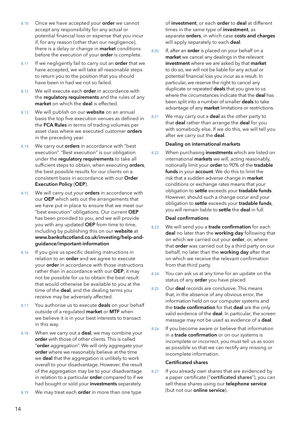- 8.10 Once we have accepted your order we cannot accept any responsibility for any actual or potential financial loss or expense that you incur if, for any reason (other than our negligence), there is a delay or change in **market** conditions before the execution of your order is complete.
- 8.11 If we negligently fail to carry out an order that we have accepted, we will take all reasonable steps to return you to the position that you should have been in had we not so failed.
- 8.12 We will execute each order in accordance with the regulatory requirements and the rules of any market on which the deal is effected.
- 8.13 We will publish on our website on an annual basis the top five execution venues as defined in the FCA Rules in terms of trading volumes per asset class where we executed customer orders in the preceding year.
- 8.14 We carry out **orders** in accordance with "best execution". "Best execution" is our obligation under the regulatory requirements to take all sufficient steps to obtain, when executing orders, the best possible results for our clients on a consistent basis in accordance with our Order Execution Policy (OEP).
- 8.15 We will carry out your **orders** in accordance with our OEP which sets out the arrangements that we have put in place to ensure that we meet our "best execution" obligations. Our current OEP has been provided to you, and we will provide you with any updated OEP from time to time, including by publishing this on our website at [www.bankofscotland.co.uk/investing/help-and](http://www.bankofscotland.co.uk/investing/help-and-guidance/important-information)[guidance/important-information](http://www.bankofscotland.co.uk/investing/help-and-guidance/important-information)
- 8.16 If you give us specific dealing instructions in relation to an order and we agree to execute your order in accordance with those instructions rather than in accordance with our OEP, it may not be possible for us to obtain the best result that would otherwise be available to you at the time of the **deal**, and the dealing terms you receive may be adversely affected.
- 8.17 You authorise us to execute deals on your behalf outside of a regulated market or MTF when we believe it is in your best interests to transact in this way.
- 8.18 When we carry out a **deal**, we may combine your order with those of other clients. This is called "order aggregation". We will only aggregate your order where we reasonably believe at the time we deal that the aggregation is unlikely to work overall to your disadvantage. However, the result of the aggregation may be to your disadvantage in relation to a particular **order** compared to if we had bought or sold your investments separately.
- 8.19 We may treat each order in more than one type

of investment, or each order to deal at different times in the same type of *investment*, as separate orders, in which case costs and charges will apply separately to each deal.

- 8.20 If, after an **order** is placed on your behalf on a market we cancel any dealings in the relevant investment where we are asked by that market to do so, we will not be liable for any actual or potential financial loss you incur as a result. In particular, we reserve the right to cancel any duplicate or repeated deals that you give to us where the circumstances indicate that the **deal** has been split into a number of smaller **deals** to take advantage of any **market** limitations or restrictions.
- 8.21 We may carry out a **deal** as the other party to that deal rather than arrange the deal for you with somebody else. If we do this, we will tell you after we carry out the deal.

#### Dealing on international markets

8.22 When purchasing **investments** which are listed on international **markets** we will, acting reasonably, notionally limit your order to 90% of the tradable funds in your account. We do this to limit the risk that a sudden adverse change in market conditions or exchange rates means that your obligation to settle exceeds your tradable funds. However, should such a change occur and your obligation to settle exceeds your tradable funds, you will remain liable to settle the deal in full.

## Deal confirmations

- 8.23 We will send you a trade confirmation for each deal no later than the working day following that on which we carried out your order, or, where that order was carried out by a third party on our behalf, no later than the working day after that on which we receive the relevant confirmation from that third party.
- 8.24 You can ask us at any time for an update on the status of any order you have placed.
- 8.25 Our deal records are conclusive. This means that, in the absence of any obvious error, the information held on our computer systems and the trade confirmation for that deal are the only valid evidence of the deal. In particular, the screen message may not be used as evidence of a **deal**.
- 8.26 If you become aware or believe that information in a trade confirmation or on our systems is incomplete or incorrect, you must tell us as soon as possible so that we can rectify any missing or incomplete information.

## Certificated shares

8.27 If you already own shares that are evidenced by a paper certificate ("certificated shares"), you can sell these shares using our telephone service (but not our online service).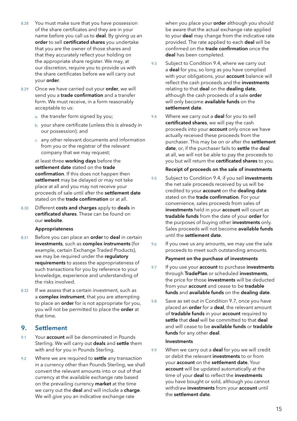- <span id="page-16-0"></span>8.28 You must make sure that you have possession of the share certificates and they are in your name before you call us to **deal**. By giving us an order to sell certificated shares you undertake that you are the owner of those shares and that they accurately reflect your holding on the appropriate share register. We may, at our discretion, require you to provide us with the share certificates before we will carry out your order.
- 8.29 Once we have carried out your order, we will send you a **trade confirmation** and a transfer form. We must receive, in a form reasonably acceptable to us:
	- a. the transfer form signed by you;
	- b. your share certificate (unless this is already in our possession); and
	- c. any other relevant documents and information from you or the registrar of the relevant company that we may request;

at least three working days before the settlement date stated on the trade confirmation. If this does not happen then settlement may be delayed or may not take place at all and you may not receive your proceeds of sale until after the settlement date stated on the **trade confirmation** or at all.

8.30 Different costs and charges apply to deals in certificated shares. These can be found on our website.

## Appropriateness

- 8.31 Before you can place an **order** to **deal** in certain investments, such as complex instruments (for example, certain Exchange Traded Products), we may be required under the requlatory requirements to assess the appropriateness of such transactions for you by reference to your knowledge, experience and understanding of the risks involved.
- 8.32 If we assess that a certain investment, such as a complex instrument, that you are attempting to place an **order** for is not appropriate for you, you will not be permitted to place the order at that time.

## 9. Settlement

- 9.1 Your **account** will be denominated in Pounds Sterling. We will carry out deals and settle them with and for you in Pounds Sterling.
- 9.2 Where we are required to **settle** any transaction in a currency other than Pounds Sterling, we shall convert the relevant amounts into or out of that currency at the available exchange rate based on the prevailing currency market at the time we carry out the deal and will include a charge. We will give you an indicative exchange rate

when you place your order although you should be aware that the actual exchange rate applied to your **deal** may change from the indicative rate provided. The rate applied to each deal will be confirmed on the trade confirmation once the deal has been completed.

- 9.3 Subject to Condition 9.4, where we carry out a deal for you, so long as you have complied with your obligations, your **account** balance will reflect the cash proceeds and the investments relating to that deal on the dealing date, although the cash proceeds of a sale **order** will only become available funds on the settlement date.
- 9.4 Where we carry out a **deal** for you to sell certificated shares, we will pay the cash proceeds into your **account** only once we have actually received these proceeds from the purchaser. This may be on or after the settlement date, or, if the purchaser fails to settle the deal at all, we will not be able to pay the proceeds to you but will return the certificated shares to you.

## Receipt of proceeds on the sale of investments

- 9.5 Subject to Condition 9.4, if you sell investments the net sale proceeds received by us will be credited to your account on the dealing date stated on the trade confirmation. For your convenience, sales proceeds from sales of investments held in your account will count as tradable funds from the date of your order for the purposes of buying other investments only. Sales proceeds will not become available funds until the settlement date.
- 9.6 If you owe us any amounts, we may use the sale proceeds to meet such outstanding amounts.

## Payment on the purchase of investments

- 9.7 If you use your **account** to purchase investments through TradePlan or scheduled investments, the price for those investments will be deducted from your **account** and cease to be **tradable** funds and available funds on the dealing date.
- 9.8 Save as set out in Condition 9.7, once you have placed an order for a deal, the relevant amount of tradable funds in your account required to settle that deal will be committed to that deal and will cease to be **available funds** or **tradable** funds for any other deal.

## Investments

9.9 When we carry out a **deal** for you we will credit or debit the relevant investments to or from your account on the settlement date. Your account will be updated automatically at the time of your deal to reflect the investments you have bought or sold, although you cannot withdraw investments from your account until the settlement date.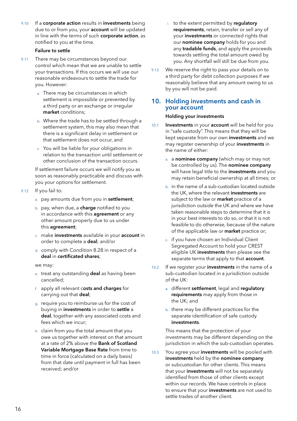<span id="page-17-0"></span>9.10 If a corporate action results in investments being due to or from you, your **account** will be updated in line with the terms of such corporate action, as notified to you at the time.

## Failure to settle

- 9.11 There may be circumstances beyond our control which mean that we are unable to settle your transactions. If this occurs we will use our reasonable endeavours to settle the trade for you. However:
	- a. There may be circumstances in which settlement is impossible or prevented by a third party or an exchange or irregular market conditions;
	- b. Where the trade has to be settled through a settlement system, this may also mean that there is a significant delay in settlement or that settlement does not occur, and
	- c. You will be liable for your obligations in relation to the transaction until settlement or other conclusion of the transaction occurs.

If settlement failure occurs we will notify you as soon as reasonably practicable and discuss with you your options for settlement.

- 9.12 If you fail to:
	- a. pay amounts due from you in settlement;
	- b. pay, when due, a **charge** notified to you in accordance with this **agreement** or any other amount properly due to us under this agreement;
	- c. make investments available in your account in order to complete a deal; and/or
	- d. comply with Condition 8.28 in respect of a deal in certificated shares;

we may:

- e. treat any outstanding **deal** as having been cancelled;
- f. apply all relevant costs and charges for carrying out that deal;
- g. require you to reimburse us for the cost of buying in investments in order to settle a deal, together with any associated costs and fees which we incur;
- h. claim from you the total amount that you owe us together with interest on that amount at a rate of 2% above the Bank of Scotland Variable Mortgage Base Rate from time to time in force (calculated on a daily basis) from that date until payment in full has been received; and/or
- i. to the extent permitted by requlatory requirements, retain, transfer or sell any of your investments or connected rights that our nominee company holds for you and any tradable funds, and apply the proceeds towards settling the total amount owed by you. Any shortfall will still be due from you.
- 9.13 We reserve the right to pass your details on to a third party for debt collection purposes if we reasonably believe that any amount owing to us by you will not be paid.

## 10. Holding investments and cash in your account

## Holding your investments

- 10.1 Investments in your account will be held for you in "safe custody". This means that they will be kept separate from our own investments and we may register ownership of your **investments** in the name of either:
	- a. a nominee company (which may or may not be controlled by us). The nominee company will have legal title to the investments and you may retain beneficial ownership at all times; or
	- b. in the name of a sub-custodian located outside the UK, where the relevant **investments** are subject to the law or **market** practice of a jurisdiction outside the UK and where we have taken reasonable steps to determine that it is in your best interests to do so, or that it is not feasible to do otherwise, because of the nature of the applicable law or market practice or;
	- c. if you have chosen an Individual Client Segregated Account to hold your CREST eligible UK investments then please see the separate terms that apply to that **account**.
- 10.2 If we register your **investments** in the name of a sub-custodian located in a jurisdiction outside of the UK:
	- a. different settlement, legal and regulatory requirements may apply from those in the UK; and
	- b. there may be different practices for the separate identification of safe custody investments.

This means that the protection of your investments may be different depending on the jurisdiction in which the sub-custodian operates.

10.3 You agree your investments will be pooled with investments held by the nominee company or subcustodian for other clients. This means that your **investments** will not be separately identified from those of other clients except within our records. We have controls in place to ensure that your **investments** are not used to settle trades of another client.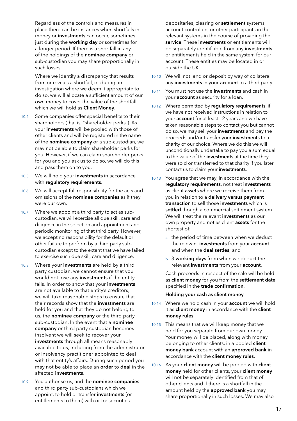Regardless of the controls and measures in place there can be instances when shortfalls in money or investments can occur, sometimes just during the working day or sometimes for a longer period. If there is a shortfall in any of the holdings of the nominee company or sub-custodian you may share proportionally in such losses.

Where we identify a discrepancy that results from or reveals a shortfall, or during an investigation where we deem it appropriate to do so, we will allocate a sufficient amount of our own money to cover the value of the shortfall, which we will hold as Client Money.

- 10.4 Some companies offer special benefits to their shareholders (that is, "shareholder perks"). As your investments will be pooled with those of other clients and will be registered in the name of the nominee company or a sub-custodian, we may not be able to claim shareholder perks for you. However, if we can claim shareholder perks for you and you ask us to do so, we will do this and pass them on to you.
- 10.5 We will hold your investments in accordance with regulatory requirements.
- 10.6 We will accept full responsibility for the acts and omissions of the nominee companies as if they were our own.
- 10.7 Where we appoint a third party to act as subcustodian, we will exercise all due skill, care and diligence in the selection and appointment and periodic monitoring of that third party. However, we accept no responsibility for the default or other failure to perform by a third party subcustodian except to the extent that we have failed to exercise such due skill, care and diligence.
- 10.8 Where your investments are held by a third party custodian, we cannot ensure that you would not lose any investments if the entity fails. In order to show that your investments are not available to that entity's creditors, we will take reasonable steps to ensure that their records show that the investments are held for you and that they do not belong to us, the nominee company or the third party sub-custodian. In the event that a nominee company or third party custodian becomes insolvent we will seek to recover your investments through all means reasonably available to us, including from the administrator or insolvency practitioner appointed to deal with that entity's affairs. During such period you may not be able to place an order to deal in the affected investments.
- 10.9 You authorise us, and the nominee companies and third party sub-custodians which we appoint, to hold or transfer investments (or entitlements to them) with or to: securities

depositaries, clearing or settlement systems, account controllers or other participants in the relevant systems in the course of providing the service. These investments or entitlements will be separately identifiable from any investments or entitlements held in the same system for our account. These entities may be located in or outside the UK.

- 10.10 We will not lend or deposit by way of collateral any investments in your account to a third party.
- 10.11 You must not use the investments and cash in your **account** as security for a loan.
- 10.12 Where permitted by requiatory requirements, if we have not received instructions in relation to your **account** for at least 12 years and we have taken reasonable steps to contact you but cannot do so, we may sell your investments and pay the proceeds and/or transfer your investments to a charity of our choice. Where we do this we will unconditionally undertake to pay you a sum equal to the value of the investments at the time they were sold or transferred to that charity if you later contact us to claim your investments.
- 10.13 You agree that we may, in accordance with the regulatory requirements, not treat investments as client **assets** where we receive them from you in relation to a delivery versus payment transaction to sell those investments which is settled though a commercial settlement system. We will treat the relevant investments as our own property and not as client **assets** for the shortest of:
	- a. the period of time between when we deduct the relevant **investments** from your **account** and when the deal settles; and
	- b. 3 working days from when we deduct the relevant investments from your account.

Cash proceeds in respect of the sale will be held as client money for you from the settlement date specified in the trade confirmation.

## Holding your cash as client money

- 10.14 Where we hold cash in your **account** we will hold it as client money in accordance with the client money rules.
- 10.15 This means that we will keep money that we hold for you separate from our own money. Your money will be placed, along with money belonging to other clients, in a pooled client money bank account with an approved bank in accordance with the client money rules.
- 10.16 As your client money will be pooled with client money held for other clients, your client money will not be separately identified from that of other clients and if there is a shortfall in the amount held by the approved bank you may share proportionally in such losses. We may also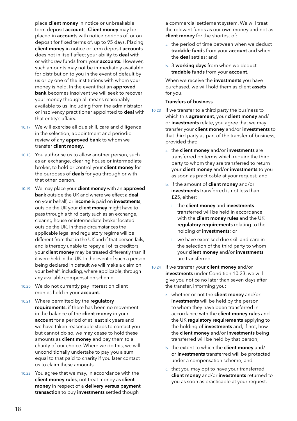<span id="page-19-0"></span>place **client money** in notice or unbreakable term deposit accounts. Client money may be placed in **account**s with notice periods of, or on deposit for fixed terms of, up to 95 days. Placing client money in notice or term deposit accounts does not in itself affect your ability to deal with or withdraw funds from your **accounts**. However, such amounts may not be immediately available for distribution to you in the event of default by us or by one of the institutions with whom your money is held. In the event that an approved bank becomes insolvent we will seek to recover your money through all means reasonably available to us, including from the administrator or insolvency practitioner appointed to deal with that entity's affairs.

- 10.17 We will exercise all due skill, care and diligence in the selection, appointment and periodic review of any **approved bank** to whom we transfer client money.
- 10.18 You authorise us to allow another person, such as an exchange, clearing house or intermediate broker, to hold or control your client money for the purposes of deals for you through or with that other person.
- 10.19 We may place your client money with an approved bank outside the UK and where we effect a deal on your behalf, or income is paid on investments, outside the UK your client money might have to pass through a third party such as an exchange, clearing house or intermediate broker located outside the UK. In these circumstances the applicable legal and regulatory regime will be different from that in the UK and if that person fails, and is thereby unable to repay all of its creditors, your **client money** may be treated differently than if it were held in the UK. In the event of such a person being declared in default we will make a claim on your behalf, including, where applicable, through any available compensation scheme.
- 10.20 We do not currently pay interest on client monies held in your account.
- 10.21 Where permitted by the regulatory requirements, if there has been no movement in the balance of the **client money** in your account for a period of at least six years and we have taken reasonable steps to contact you but cannot do so, we may cease to hold these amounts as **client money** and pay them to a charity of our choice. Where we do this, we will unconditionally undertake to pay you a sum equal to that paid to charity if you later contact us to claim these amounts.
- 10.22 You agree that we may, in accordance with the client money rules, not treat money as client money in respect of a delivery versus payment transaction to buy investments settled though

a commercial settlement system. We will treat the relevant funds as our own money and not as client money for the shortest of:

- a. the period of time between when we deduct tradable funds from your account and when the deal settles; and
- b. 3 working days from when we deduct tradable funds from your account.

When we receive the **investments** you have purchased, we will hold them as client assets for you.

## Transfers of business

- 10.23 If we transfer to a third party the business to which this agreement, your client money and/ or investments relate, you agree that we may transfer your client money and/or investments to that third party as part of the transfer of business, provided that:
	- a. the client money and/or investments are transferred on terms which require the third party to whom they are transferred to return your client money and/or investments to you as soon as practicable at your request; and
	- b. if the amount of client money and/or investments transferred is not less than £25, either:
		- i. the client money and investments transferred will be held in accordance with the **client money rules** and the UK regulatory requirements relating to the holding of investments; or
		- ii. we have exercised due skill and care in the selection of the third party to whom your client money and/or investments are transferred.
- 10.24 If we transfer your client money and/or investments under Condition 10.23, we will give you notice no later than seven days after the transfer, informing you:
	- a. whether or not the client money and/or investments will be held by the person to whom they have been transferred in accordance with the **client money rules** and the UK requlatory requirements applying to the holding of investments and, if not, how the client money and/or investments being transferred will be held by that person;
	- b. the extent to which the **client money** and/ or investments transferred will be protected under a compensation scheme; and
	- c. that you may opt to have your transferred client money and/or investments returned to you as soon as practicable at your request.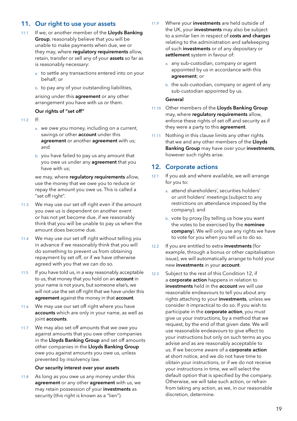## <span id="page-20-0"></span>11. Our right to use your assets

- 11.1 If we, or another member of the Lloyds Banking Group, reasonably believe that you will be unable to make payments when due, we or they may, where requlatory requirements allow, retain, transfer or sell any of your **assets** so far as is reasonably necessary:
	- a. to settle any transactions entered into on your behalf; or
	- b. to pay any of your outstanding liabilities,

arising under this **agreement** or any other arrangement you have with us or them.

## Our rights of "set off"

- $11.2$  If:
	- a. we owe you money, including on a current, savings or other **account** under this agreement or another agreement with us; and
	- b. you have failed to pay us any amount that you owe us under any **agreement** that you have with us;

we may, where regulatory requirements allow, use the money that we owe you to reduce or repay the amount you owe us. This is called a "set off right".

- 11.3 We may use our set off right even if the amount you owe us is dependent on another event or has not yet become due, if we reasonably think that you will be unable to pay us when the amount does become due.
- 11.4 We may use our set off right without telling you in advance if we reasonably think that you will do something to prevent us from obtaining repayment by set off, or if we have otherwise agreed with you that we can do so.
- 11.5 If you have told us, in a way reasonably acceptable to us, that money that you hold on an **account** in your name is not yours, but someone else's, we will not use the set off right that we have under this agreement against the money in that account.
- 11.6 We may use our set off right where you have accounts which are only in your name, as well as joint accounts.
- 11.7 We may also set off amounts that we owe you against amounts that you owe other companies in the Lloyds Banking Group and set off amounts other companies in the Lloyds Banking Group owe you against amounts you owe us, unless prevented by insolvency law.

## Our security interest over your assets

11.8 As long as you owe us any money under this agreement or any other agreement with us, we may retain possession of your investments as security (this right is known as a "lien").

- 11.9 Where your investments are held outside of the UK, your investments may also be subject to a similar lien in respect of costs and charges relating to the administration and safekeeping of such **investments** or of any depositary or settlement system in favour of:
	- a. any sub-custodian, company or agent appointed by us in accordance with this agreement; or
	- b. the sub-custodian, company or agent of any sub-custodian appointed by us.

## General

- 11.10 Other members of the Lloyds Banking Group may, where regulatory requirements allow, enforce these rights of set off and security as if they were a party to this **agreement**.
- 11.11 Nothing in this clause limits any other rights that we and any other members of the Lloyds Banking Group may have over your investments, however such rights arise.

## 12. Corporate actions

- 12.1 If you ask and where available, we will arrange for you to:
	- a. attend shareholders', securities holders' or unit holders' meetings (subject to any restrictions on attendance imposed by the company); and
	- b. vote by proxy (by telling us how you want the votes to be exercised by the nominee company). We will only use any rights we have to vote for you when you tell us to do so.
- 12.2 If you are entitled to extra investments (for example, through a bonus or other capitalisation issue), we will automatically arrange to hold your new investments in your account.
- 12.3 Subject to the rest of this Condition 12, if a corporate action happens in relation to investments held in the account we will use reasonable endeavours to tell you about any rights attaching to your investments, unless we consider it impractical to do so. If you wish to participate in the corporate action, you must give us your instructions, by a method that we request, by the end of that given date. We will use reasonable endeavours to give effect to your instructions but only on such terms as you advise and as are reasonably acceptable to us. If we become aware of a corporate action at short notice, and we do not have time to obtain your instructions, or if we do not receive your instructions in time, we will select the default option that is specified by the company. Otherwise, we will take such action, or refrain from taking any action, as we, in our reasonable discretion, determine.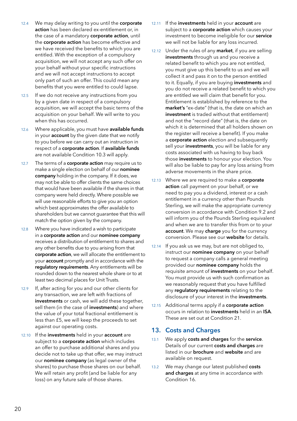- <span id="page-21-0"></span>12.4 We may delay writing to you until the corporate action has been declared ex-entitlement or, in the case of a mandatory corporate action, until the corporate action has become effective and we have received the benefits to which you are entitled. With the exception of a compulsory acquisition, we will not accept any such offer on your behalf without your specific instructions and we will not accept instructions to accept only part of such an offer. This could mean any benefits that you were entitled to could lapse.
- 12.5 If we do not receive any instructions from you by a given date in respect of a compulsory acquisition, we will accept the basic terms of the acquisition on your behalf. We will write to you when this has occurred.
- 12.6 Where applicable, you must have available funds in your **account** by the given date that we notify to you before we can carry out an instruction in respect of a corporate action. If available funds are not available Condition 10.3 will apply.
- 12.7 The terms of a **corporate action** may require us to make a single election on behalf of our nominee company holding in the company. If it does, we may not be able to offer clients the same choices that would have been available if the shares in that company were held directly. Where possible we will use reasonable efforts to give you an option which best approximates the offer available to shareholders but we cannot guarantee that this will match the option given by the company.
- 12.8 Where you have indicated a wish to participate in a corporate action and our nominee company receives a distribution of entitlement to shares and any other benefits due to you arising from that corporate action, we will allocate the entitlement to your **account** promptly and in accordance with the regulatory requirements. Any entitlements will be rounded down to the nearest whole share or to at least two decimal places for Unit Trusts.
- 12.9 If, after acting for you and our other clients for any transaction, we are left with fractions of investments or cash, we will add these together, sell them (in the case of investments) and where the value of your total fractional entitlement is less than £5, we will keep the proceeds to set against our operating costs.
- 12.10 If the investments held in your account are subject to a **corporate action** which includes an offer to purchase additional shares and you decide not to take up that offer, we may instruct our nominee company (as legal owner of the shares) to purchase those shares on our behalf. We will retain any profit (and be liable for any loss) on any future sale of those shares.
- 12.11 If the investments held in your account are subject to a **corporate action** which causes your investment to become ineligible for our service we will not be liable for any loss incurred.
- 12.12 Under the rules of any market, if you are selling investments through us and you receive a related benefit to which you are not entitled, you must give up this benefit to us and we will collect it and pass it on to the person entitled to it. Equally, if you are buying investments and you do not receive a related benefit to which you are entitled we will claim that benefit for you. Entitlement is established by reference to the market's "ex-date" (that is, the date on which an investment is traded without that entitlement) and not the "record date" (that is, the date on which it is determined that all holders shown on the register will receive a benefit). If you make a corporate action election and subsequently sell your investments, you will be liable for any costs associated with us having to buy back those investments to honour your election. You will also be liable to pay for any loss arising from adverse movements in the share price.
- 12.13 Where we are required to make a corporate action call payment on your behalf, or we need to pay you a dividend, interest or a cash entitlement in a currency other than Pounds Sterling, we will make the appropriate currency conversion in accordance with Condition 9.2 and will inform you of the Pounds Sterling equivalent and when we are to transfer this from or to your account. We may charge you for the currency conversion. Please see our website for details.
- 12.14 If you ask us we may, but are not obliged to, instruct our nominee company on your behalf to request a company calls a general meeting provided our nominee company holds the requisite amount of investments on your behalf. You must provide us with such confirmation as we reasonably request that you have fulfilled any requlatory requirements relating to the disclosure of your interest in the investments.
- 12.15 Additional terms apply if a corporate action occurs in relation to investments held in an ISA. These are set out at Condition 21.

## 13. Costs and Charges

- 13.1 We apply costs and charges for the service. Details of our current costs and charges are listed in our **brochure** and website and are available on request.
- 13.2 We may change our latest published costs and charges at any time in accordance with Condition 16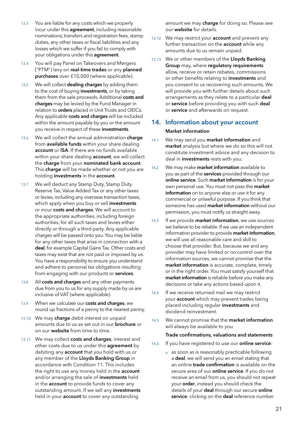- <span id="page-22-0"></span>13.3 You are liable for any costs which we properly incur under this **agreement**, including reasonable nominations, transfers and registration fees, stamp duties, any other taxes or fiscal liabilities and any losses which we suffer if you fail to comply with your obligations under this **agreement**.
- 13.4 You will pay Panel on Takeovers and Mergers ("PTM") levy on real-time trades or any planned purchases over £10,000 (where applicable).
- 13.5 We will collect **dealing charges** by adding them to the cost of buying **investments**, or by taking them from the sale proceeds. Additional costs and charges may be levied by the Fund Manager in relation to orders placed in Unit Trusts and OEICs. Any applicable costs and charges will be included within the amount payable by you or the amount you receive in respect of these investments.
- 13.6 We will collect the annual administration charge from available funds within your share dealing account or ISA. If there are no funds available within your share dealing **account**, we will collect the charge from your nominated bank account. This charge will be made whether or not you are holding investments in the account.
- 13.7 We will deduct any Stamp Duty, Stamp Duty Reserve Tax, Value Added Tax or any other taxes or levies, including any overseas transaction taxes, which apply when you buy or sell investments or incur costs and charges. We will account to the appropriate authorities, including foreign authorities, for all such taxes and levies either directly or through a third party. Any applicable charges will be passed onto you. You may be liable for any other taxes that arise in connection with a deal, for example Capital Gains Tax. Other costs and taxes may exist that are not paid or imposed by us. You have a responsibility to ensure you understand and adhere to personal tax obligations resulting from engaging with our products or services.
- 13.8 All costs and charges and any other payments due from you to us for any supply made by us are inclusive of VAT (where applicable).
- 13.9 When we calculate our costs and charges, we round up fractions of a penny to the nearest penny.
- 13.10 We may charge debit interest on unpaid amounts due to us as set out in our brochure or on our **website** from time to time.
- 13.11 We may collect costs and charges, interest and other costs due to us under this **agreement** by debiting any **account** that you hold with us or any member of the Lloyds Banking Group in accordance with Condition 11. This includes the right to use any money held in the **account** and/or arranging the sale of **investments** held in the **account** to provide funds to cover any outstanding amount. If we sell any investments held in your **account** to cover any outstanding

amount we may charge for doing so. Please see our website for details.

- 13.12 We may restrict your **account** and prevent any further transaction on the **account** while any amounts due to us remain unpaid.
- 13.13 We or other members of the Lloyds Banking Group may, where regulatory requirements allow, receive or retain rebates, commissions or other benefits relating to **investments** and you consent to us recovering such amounts. We will provide you with further details about such arrangements as they relate to a particular deal or service before providing you with such deal or service and afterwards on request.

## 14. Information about your account

## Market information

- 14.1 We may send you market information and market analysis but where we do so this will not constitute investment advice and any decision to deal in **investments** rests with you.
- 14.2 We may make market information available to you as part of the services provided through our online service. Such market information is for your own personal use. You must not pass the market information on to anyone else or use it for any commercial or unlawful purpose. If you think that someone has used **market information** without our permission, you must notify us straight away.
- 14.3 If we provide market information, we use sources we believe to be reliable. If we use an independent information provider to provide **market information**. we will use all reasonable care and skill to choose that provider. But, because we and any provider may have limited or no control over the information sources, we cannot promise that the market information is accurate, complete, timely or in the right order. You must satisfy yourself that market information is reliable before you make any decisions or take any actions based upon it.
- 14.4 If we receive returned mail we may restrict your **account** which may prevent trades being placed including regular investments and dividend reinvestment.
- 14.5 We cannot promise that the market information will always be available to you.

## Trade confirmations, valuations and statements

- 14.6 If you have registered to use our **online service**:
	- a. as soon as is reasonably practicable following a deal, we will send you an email stating that an online trade confirmation is available on the secure area of our **online service**. If you do not receive an email from us, you should not repeat your order, instead you should check the details of your deal through our secure online service: clicking on the deal reference number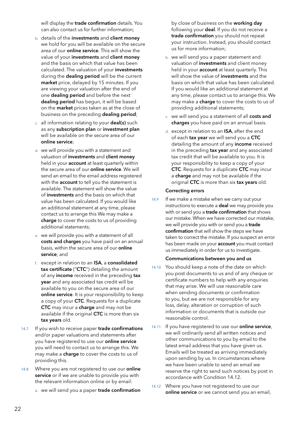<span id="page-23-0"></span>will display the trade confirmation details. You can also contact us for further information;

- b. details of the investments and client money we hold for you will be available on the secure area of our **online service**. This will show the value of your investments and client money and the basis on which that value has been calculated. The valuation of your investments during the **dealing period** will be the current market price, delayed by 15 minutes. If you are viewing your valuation after the end of one dealing period and before the next dealing period has begun, it will be based on the market prices taken as at the close of business on the preceding dealing period;
- c. all information relating to your deal(s) such as any subscription plan or investment plan will be available on the secure area of our online service;
- d. we will provide you with a statement and valuation of investments and client money held in your **account** at least quarterly within the secure area of our online service. We will send an email to the email address registered with the **account** to tell you the statement is available. The statement will show the value of investments and the basis on which that value has been calculated. If you would like an additional statement at any time, please contact us to arrange this We may make a charge to cover the costs to us of providing additional statements;
- e. we will provide you with a statement of all costs and charges you have paid on an annual basis, within the secure area of our online service: and
- f. except in relation to an ISA, a consolidated tax certificate ("CTC") detailing the amount of any income received in the preceding tax year and any associated tax credit will be available to you on the secure area of our online service. It is your responsibility to keep a copy of your CTC. Requests for a duplicate CTC may incur a charge and may not be available if the original CTC is more than six tax years old.
- 14.7 If you wish to receive paper trade confirmations and/or paper valuations and statements after you have registered to use our online service you will need to contact us to arrange this. We may make a **charge** to cover the costs to us of providing this.
- 14.8 Where you are not registered to use our **online** service or if we are unable to provide you with the relevant information online or by email:
	- a. we will send you a paper trade confirmation

by close of business on the working day following your deal. If you do not receive a trade confirmation you should not repeat your instruction. Instead, you should contact us for more information;

- b. we will send you a paper statement and valuation of investments and client money held in your **account** at least quarterly. This will show the value of **investments** and the basis on which that value has been calculated. If you would like an additional statement at any time, please contact us to arrange this. We may make a **charge** to cover the costs to us of providing additional statements;
- c. we will send you a statement of all costs and charges you have paid on an annual basis.
- d. except in relation to an ISA, after the end of each tax year we will send you a CTC detailing the amount of any *income* received in the preceding tax year and any associated tax credit that will be available to you. It is your responsibility to keep a copy of your CTC. Requests for a duplicate CTC may incur a charge and may not be available if the original CTC is more than six tax years old.

## Correcting errors

14.9 If we make a mistake when we carry out your instructions to execute a deal we may provide you with or send you a trade confirmation that shows our mistake. When we have corrected our mistake, we will provide you with or send you a trade confirmation that will show the steps we have taken to correct the mistake. If you suspect an error has been made on your **account** you must contact us immediately in order for us to investigate.

#### Communications between you and us

- 14.10 You should keep a note of the date on which you post documents to us and of any cheque or certificate numbers to help with any enquiries that may arise. We will use reasonable care when sending documents or confirmation to you, but we are not responsible for any loss, delay, alteration or corruption of such information or documents that is outside our reasonable control.
- 14.11 If you have registered to use our **online service**, we will ordinarily send all written notices and other communications to you by email to the latest email address that you have given us. Emails will be treated as arriving immediately upon sending by us. In circumstances where we have been unable to send an email we reserve the right to send such notices by post in accordance with Condition 14.12.
- 14.12 Where you have not registered to use our online service or we cannot send you an email,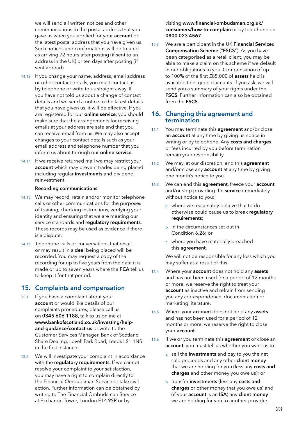we will send all written notices and other communications to the postal address that you gave us when you applied for your account or the latest postal address that you have given us. Such notices and confirmations will be treated as arriving 72 hours after posting (if sent to an address in the UK) or ten days after posting (if sent abroad).

- 14.13 If you change your name, address, email address or other contact details, you must contact us by telephone or write to us straight away. If you have not told us about a change of contact details and we send a notice to the latest details that you have given us, it will be effective. If you are registered for our **online service**, you should make sure that the arrangements for receiving emails at your address are safe and that you can receive email from us. We may also accept changes to your contact details such as your email address and telephone number that you inform us about through our online service.
- 14.14 If we receive returned mail we may restrict your account which may prevent trades being placed including regular investments and dividend reinvestment.

#### Recording communications

- 14.15 We may record, retain and/or monitor telephone calls or other communications for the purposes of training, checking instructions, verifying your identity and ensuring that we are meeting our service standards and requiatory requirements. These records may be used as evidence if there is a dispute.
- 14.16 Telephone calls or conversations that result or may result in a deal being placed will be recorded. You may request a copy of the recording for up to five years from the date it is made or up to seven years where the FCA tell us to keep it for that period.

## 15. Complaints and compensation

- 15.1 If you have a complaint about your account or would like details of our complaints procedures, please call us on 0345 606 1188, talk to us online at [www.bankofscotland.co.uk/investing/help](http://www.bankofscotland.co.uk/investing/help-and-guidance/contact-us)[and-guidance/contact-us](http://www.bankofscotland.co.uk/investing/help-and-guidance/contact-us) or write to the Customer Services Manager, Bank of Scotland Share Dealing, Lovell Park Road, Leeds LS1 1NS in the first instance.
- 15.2 We will investigate your complaint in accordance with the requlatory requirements. If we cannot resolve your complaint to your satisfaction, you may have a right to complain directly to the Financial Ombudsman Service or take civil action. Further information can be obtained by writing to The Financial Ombudsman Service at Exchange Tower, London E14 9SR or by

visiting www.financial-ombudsman.org.uk/ consumers/how-to-complain or by telephone on 0800 023 4567.

15.3 We are a participant in the UK Financial Services Compensation Scheme ("FSCS"). As you have been categorised as a retail client, you may be able to make a claim on this scheme if we default in our obligations to you. Compensation of up to 100% of the first £85,000 of assets held is available to eligible claimants. If you ask, we will send you a summary of your rights under the FSCS. Further information can also be obtained from the FSCS.

## 16. Changing this agreement and termination

- 16.1 You may terminate this **agreement** and/or close an **account** at any time by giving us notice in writing or by telephone. Any costs and charges or fees incurred by you before termination remain your responsibility.
- 16.2 We may, at our discretion, end this **agreement** and/or close any **account** at any time by giving one month's notice to you.
- 16.3 We can end this agreement, freeze your account and/or stop providing the service immediately without notice to you:
	- a. where we reasonably believe that to do otherwise could cause us to break regulatory requirements;
	- b. in the circumstances set out in Condition 6.26; or
	- c. where you have materially breached this agreement.

We will not be responsible for any loss which you may suffer as a result of this.

- 16.4 Where your **account** does not hold any **assets** and has not been used for a period of 12 months or more, we reserve the right to treat your account as inactive and refrain from sending you any correspondence, documentation or marketing literature.
- 16.5 Where your **account** does not hold any **assets** and has not been used for a period of 12 months or more, we reserve the right to close your account.
- 16.6 If we or you terminate this **agreement** or close an account, you must tell us whether you want us to:
	- a. sell the investments and pay to you the net sale proceeds and any other client money that we are holding for you (less any costs and charges and other money you owe us); or
	- b. transfer investments (less any costs and charges or other money that you owe us) and (if your account is an ISA) any client money we are holding for you to another provider.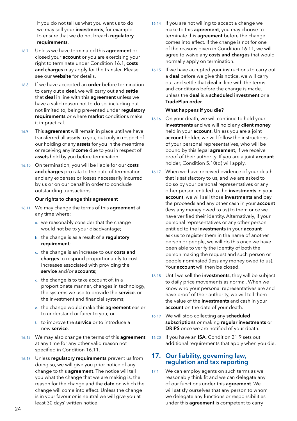<span id="page-25-0"></span>If you do not tell us what you want us to do we may sell your investments, for example to ensure that we do not breach requlatory requirements.

- 16.7 Unless we have terminated this **agreement** or closed your **account** or you are exercising your right to terminate under Condition 16.1, costs and charges may apply for the transfer. Please see our website for details.
- 16.8 If we have accepted an **order** before termination to carry out a deal, we will carry out and settle that deal in line with this agreement unless we have a valid reason not to do so, including but not limited to, being prevented under requlatory requirements or where market conditions make it impractical.
- 16.9 This **agreement** will remain in place until we have transferred all assets to you, but only in respect of our holding of any **assets** for you in the meantime or receiving any income due to you in respect of assets held by you before termination.
- 16.10 On termination, you will be liable for our costs and charges pro rata to the date of termination and any expenses or losses necessarily incurred by us or on our behalf in order to conclude outstanding transactions.

#### Our rights to change this agreement

- 16.11 We may change the terms of this **agreement** at any time where:
	- a. we reasonably consider that the change would not be to your disadvantage;
	- b. the change is as a result of a regulatory requirement;
	- c. the change is an increase to our costs and charges to respond proportionately to cost increases associated with providing the service and/or accounts:
	- d. the change is to take account of, in a proportionate manner, changes in technology, the systems we use to provide the service, or the investment and financial systems;
	- e. the change would make this agreement easier to understand or fairer to you; or
	- f. to improve the **service** or to introduce a new service.
- 16.12 We may also change the terms of this agreement at any time for any other valid reason not specified in Condition 16.11.
- 16.13 Unless requiatory requirements prevent us from doing so, we will give you prior notice of any change to this agreement. The notice will tell you what the change that we are making is, the reason for the change and the **date** on which the change will come into effect. Unless the change is in your favour or is neutral we will give you at least 30 days' written notice.
- 16.14 If you are not willing to accept a change we make to this **agreement**, you may choose to terminate this agreement before the change comes into effect. If the change is not for one of the reasons given in Condition 16.11, we will agree to waive any costs and charges that would normally apply on termination.
- 16.15 If we have accepted your instructions to carry out a **deal** before we give this notice, we will carry out and settle that deal in line with the terms and conditions before the change is made, unless the deal is a scheduled investment or a TradePlan order.

## What happens if you die?

- 16.16 On your death, we will continue to hold your investments and we will hold any client money held in your **account**. Unless you are a joint account holder, we will follow the instructions of your personal representatives, who will be bound by this legal **agreement**, if we receive proof of their authority. If you are a joint **account** holder, Condition 5.10(d) will apply.
- 16.17 When we have received evidence of your death that is satisfactory to us, and we are asked to do so by your personal representatives or any other person entitled to the investments in your account, we will sell those investments and pay the proceeds and any other cash in your **account** (less any money owed to us) to them once we have verified their identity. Alternatively, if your personal representatives or any other person entitled to the investments in your account ask us to register them in the name of another person or people, we will do this once we have been able to verify the identity of both the person making the request and such person or people nominated (less any money owed to us). Your **account** will then be closed.
- 16.18 Until we sell the investments, they will be subject to daily price movements as normal. When we know who your personal representatives are and have proof of their authority, we will tell them the value of the investments and cash in your account on the date of your death.
- 16.19 We will stop collecting any scheduled subscriptions or making regular investments or DRIPS once we are notified of your death.
- 16.20 If you have an ISA, Condition 21.9 sets out additional requirements that apply when you die.

## 17. Our liability, governing law, regulation and tax reporting

17.1 We can employ agents on such terms as we reasonably think fit and we can delegate any of our functions under this agreement. We will satisfy ourselves that any person to whom we delegate any functions or responsibilities under this **agreement** is competent to carry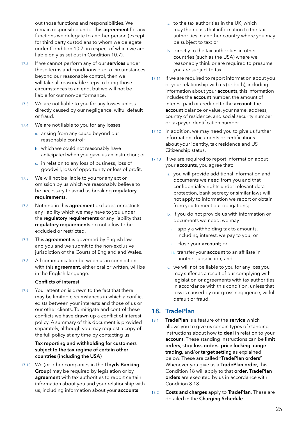out those functions and responsibilities. We remain responsible under this **agreement** for any functions we delegate to another person (except for third party custodians to whom we delegate under Condition 10.7, in respect of which we are liable only as set out in Condition 10.7).

- 17.2 If we cannot perform any of our **services** under these terms and conditions due to circumstances beyond our reasonable control, then we will take all reasonable steps to bring those circumstances to an end, but we will not be liable for our non-performance.
- 17.3 We are not liable to you for any losses unless directly caused by our negligence, wilful default or fraud.
- 17.4 We are not liable to you for any losses:
	- a. arising from any cause beyond our reasonable control;
	- b. which we could not reasonably have anticipated when you gave us an instruction; or
	- c. in relation to any loss of business, loss of goodwill, loss of opportunity or loss of profit.
- 17.5 We will not be liable to you for any act or omission by us which we reasonably believe to be necessary to avoid us breaking requlatory requirements.
- 17.6 Nothing in this **agreement** excludes or restricts any liability which we may have to you under the regulatory requirements or any liability that regulatory requirements do not allow to be excluded or restricted.
- 17.7 This **agreement** is governed by English law and you and we submit to the non-exclusive jurisdiction of the Courts of England and Wales.
- 17.8 All communication between us in connection with this agreement, either oral or written, will be in the English language.

## Conflicts of interest

17.9 Your attention is drawn to the fact that there may be limited circumstances in which a conflict exists between your interests and those of us or our other clients. To mitigate and control these conflicts we have drawn up a conflict of interest policy. A summary of this document is provided separately, although you may request a copy of the full policy at any time by contacting us.

## Tax reporting and withholding for customers subject to the tax regime of certain other countries (including the USA)

17.10 We (or other companies in the Lloyds Banking Group) may be required by legislation or by agreement with tax authorities to report certain information about you and your relationship with us, including information about your accounts:

- a. to the tax authorities in the UK, which may then pass that information to the tax authorities in another country where you may be subject to tax; or
- b. directly to the tax authorities in other countries (such as the USA) where we reasonably think or are required to presume you are subject to tax.
- 17.11 If we are required to report information about you or your relationship with us (or both), including information about your **account**s, this information includes the account number, the amount of interest paid or credited to the account, the account balance or value, your name, address, country of residence, and social security number or taxpayer identification number.
- 17.12 In addition, we may need you to give us further information, documents or certifications about your identity, tax residence and US Citizenship status.
- 17.13 If we are required to report information about your **account**s, you agree that:
	- a. you will provide additional information and documents we need from you and that confidentiality rights under relevant data protection, bank secrecy or similar laws will not apply to information we report or obtain from you to meet our obligations;
	- b. if you do not provide us with information or documents we need, we may
		- apply a withholding tax to amounts, including interest, we pay to you; or
		- ii. close your **account**; or
		- iii. transfer your **account** to an affiliate in another jurisdiction; and
	- c. we will not be liable to you for any loss you may suffer as a result of our complying with legislation or agreements with tax authorities in accordance with this condition, unless that loss is caused by our gross negligence, wilful default or fraud.

## 18. TradePlan

- 18.1 TradePlan is a feature of the service which allows you to give us certain types of standing instructions about how to deal in relation to your account. These standing instructions can be limit orders, stop loss orders, price locking, range trading, and/or target setting as explained below. These are called "TradePlan orders". Whenever you give us a TradePlan order, this Condition 18 will apply to that order. TradePlan orders are executed by us in accordance with Condition 8.18.
- 18.2 Costs and charges apply to TradePlan. These are detailed in the Charging Schedule.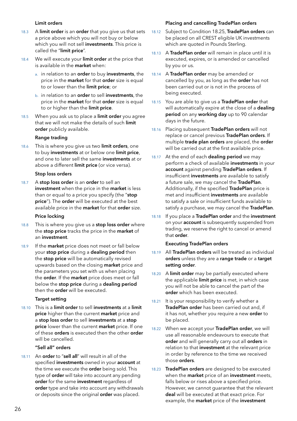## Limit orders

- 18.3 A limit order is an order that you give us that sets a price above which you will not buy or below which you will not sell investments. This price is called the "limit price".
- 18.4 We will execute your limit order at the price that is available in the market when:
	- a. in relation to an order to buy investments, the price in the **market** for that order size is equal to or lower than the limit price; or
	- b. in relation to an order to sell investments, the price in the **market** for that **order** size is equal to or higher than the limit price.
- 18.5 When you ask us to place a limit order you agree that we will not make the details of such limit order publicly available.

## Range trading

18.6 This is where you give us two limit orders, one to buy **investments** at or below one **limit price**. and one to later sell the same **investments** at or above a different limit price (or vice versa).

#### Stop loss orders

18.7 A stop loss order is an order to sell an investment when the price in the market is less than or equal to a price you specify (the "stop price"). The order will be executed at the best available price in the market for that order size.

#### Price locking

- 18.8 This is where you give us a **stop loss order** where the stop price tracks the price in the market of an investment.
- 18.9 If the **market** price does not meet or fall below your stop price during a dealing period then the stop price will be automatically revised upwards based on the closing market price and the parameters you set with us when placing the order. If the market price does meet or fall below the stop price during a dealing period then the **order** will be executed.

## Target setting

18.10 This is a limit order to sell investments at a limit price higher than the current market price and a stop loss order to sell investments at a stop price lower than the current market price. If one of these orders is executed then the other order will be cancelled.

#### "Sell all" orders

18.11 An order to "sell all" will result in all of the specified investments owned in your account at the time we execute the **order** being sold. This type of **order** will take into account any pending order for the same investment regardless of order type and take into account any withdrawals or deposits since the original order was placed.

## Placing and cancelling TradePlan orders

- 18.12 Subject to Condition 18.25, TradePlan orders can be placed on all CREST eligible UK investments which are quoted in Pounds Sterling.
- 18.13 A TradePlan order will remain in place until it is executed, expires, or is amended or cancelled by you or us.
- 18.14 A TradePlan order may be amended or cancelled by you, as long as the order has not been carried out or is not in the process of being executed.
- 18.15 You are able to give us a TradePlan order that will automatically expire at the close of a dealing period on any working day up to 90 calendar days in the future.
- 18.16 Placing subsequent TradePlan orders will not replace or cancel previous TradePlan orders. If multiple trade plan orders are placed, the order will be carried out at the first available price.
- 18.17 At the end of each dealing period we may perform a check of available investments in your account against pending TradePlan orders. If insufficient investments are available to satisfy a future sale, we may cancel the TradePlan. Additionally, if the specified TradePlan price is met and insufficient **investments** are available to satisfy a sale or insufficient funds available to satisfy a purchase, we may cancel the TradePlan.
- 18.18 If you place a TradePlan order and the investment on your **account** is subsequently suspended from trading, we reserve the right to cancel or amend that order.

## Executing TradePlan orders

- 18.19 All TradePlan orders will be treated as individual orders unless they are a range trade or a target setting order.
- 18.20 A limit order may be partially executed where the applicable limit price is met, in which case you will not be able to cancel the part of the order which has been executed.
- 18.21 It is your responsibility to verify whether a TradePlan order has been carried out and, if it has not, whether you require a new order to be placed.
- 18.22 When we accept your TradePlan order, we will use all reasonable endeavours to execute that order and will generally carry out all orders in relation to that investment at the relevant price in order by reference to the time we received those orders.
- 18.23 TradePlan orders are designed to be executed when the **market** price of an **investment** meets, falls below or rises above a specified price. However, we cannot guarantee that the relevant deal will be executed at that exact price. For example, the **market** price of the investment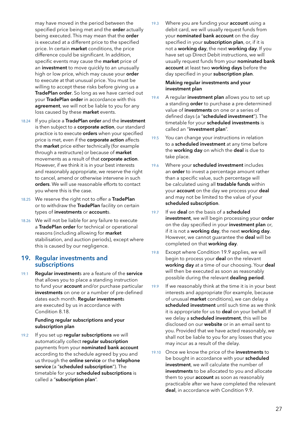may have moved in the period between the specified price being met and the order actually being executed. This may mean that the order is executed at a different price to the specified price. In certain market conditions, the price difference could be significant. In addition, specific events may cause the **market** price of an **investment** to move quickly to an unusually high or low price, which may cause your order to execute at that unusual price. You must be willing to accept these risks before giving us a TradePlan order. So long as we have carried out your TradePlan order in accordance with this agreement, we will not be liable to you for any loss caused by these market events.

- 18.24 If you place a TradePlan order and the investment is then subject to a corporate action, our standard practice is to execute **orders** when your specified price is met, even if the corporate action affects the **market** price either technically (for example through a restructure) or because of **market** movements as a result of that corporate action. However, if we think it is in your best interests and reasonably appropriate, we reserve the right to cancel, amend or otherwise intervene in such orders. We will use reasonable efforts to contact you where this is the case.
- 18.25 We reserve the right not to offer a TradePlan or to withdraw the TradePlan facility on certain types of investments or accounts.
- 18.26 We will not be liable for any failure to execute a TradePlan order for technical or operational reasons (including allowing for market stabilisation, and auction periods), except where this is caused by our negligence.

## 19. Regular investments and subscriptions

19.1 Regular investments are a feature of the service that allows you to place a standing instruction to fund your **account** and/or purchase particular investments on one or a number of pre-defined dates each month. Regular investments are executed by us in accordance with Condition 8.18.

## Funding regular subscriptions and your subscription plan

19.2 If you set up regular subscriptions we will automatically collect regular subscription payments from your nominated bank account according to the schedule agreed by you and us through the online service or the telephone service (a "scheduled subscription"). The timetable for your scheduled subscriptions is called a "subscription plan".

19.3 Where you are funding your **account** using a debit card, we will usually request funds from your nominated bank account on the day specified in your subscription plan, or, if it is not a working day, the next working day. If you have set up Direct Debit instructions, we will usually request funds from your nominated bank account at least two working days before the day specified in your subscription plan.

## Making regular investments and your investment plan

- 19.4 A regular investment plan allows you to set up a standing **order** to purchase a pre-determined value of investments on one or a series of defined days (a "scheduled investment"). The timetable for your scheduled investments is called an "investment plan".
- 19.5 You can change your instructions in relation to a scheduled investment at any time before the working day on which the deal is due to take place.
- 19.6 Where your scheduled investment includes an order to invest a percentage amount rather than a specific value, such percentage will be calculated using all tradable funds within your **account** on the day we process your **deal** and may not be limited to the value of your scheduled subscription.
- 19.7 If we **deal** on the basis of a **scheduled** investment, we will begin processing your order on the day specified in your investment plan or, if it is not a working day, the next working day. However, we cannot quarantee the deal will be completed on that working day.
- 19.8 Except where Condition 19.9 applies, we will begin to process your deal on the relevant working day at a time of our choosing. Your deal will then be executed as soon as reasonably possible during the relevant dealing period.
- 19.9 If we reasonably think at the time it is in your best interests and appropriate (for example, because of unusual market conditions), we can delay a scheduled investment until such time as we think it is appropriate for us to **deal** on your behalf. If we delay a scheduled investment, this will be disclosed on our **website** or in an email sent to you. Provided that we have acted reasonably, we shall not be liable to you for any losses that you may incur as a result of the delay.
- 19.10 Once we know the price of the investments to be bought in accordance with your scheduled investment, we will calculate the number of investments to be allocated to you and allocate them to your **account** as soon as reasonably practicable after we have completed the relevant deal, in accordance with Condition 9.9.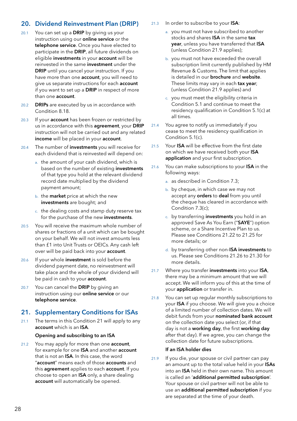## <span id="page-29-0"></span>20. Dividend Reinvestment Plan (DRIP)

- $20.1$  You can set up a **DRIP** by giving us your instruction using our online service or the telephone service. Once you have elected to participate in the DRIP, all future dividends on eligible investments in your account will be reinvested in the same investment under the DRIP until you cancel your instruction. If you have more than one **account**, you will need to give us separate instructions for each **account** if you want to set up a DRIP in respect of more than one account.
- 20.2 **DRIPs** are executed by us in accordance with Condition 8.18.
- 20.3 If your **account** has been frozen or restricted by us in accordance with this **agreement**, your DRIP instruction will not be carried out and any related income will be placed in your account.
- 20.4 The number of **investments** you will receive for each dividend that is reinvested will depend on:
	- a. the amount of your cash dividend, which is based on the number of existing investments of that type you hold at the relevant dividend record date multiplied by the dividend payment amount;
	- b. the market price at which the new investments are bought; and
	- c. the dealing costs and stamp duty reserve tax for the purchase of the new investments.
- 20.5 You will receive the maximum whole number of shares or fractions of a unit which can be bought on your behalf. We will not invest amounts less than £1 into Unit Trusts or OEICs. Any cash left over will be paid back into your account.
- 20.6 If your whole investment is sold before the dividend payment date, no reinvestment will take place and the whole of your dividend will be paid in cash to your account.
- 20.7 You can cancel the DRIP by giving an instruction using our online service or our telephone service.

## 21. Supplementary Conditions for ISAs

21.1 The terms in this Condition 21 will apply to any account which is an ISA.

## Opening and subscribing to an ISA

21.2 You may apply for more than one **account**, for example for one **ISA** and another **account** that is not an ISA. In this case, the word "account" means each of those accounts and this agreement applies to each account. If you choose to open an ISA only, a share dealing account will automatically be opened.

- 21.3 In order to subscribe to your ISA:
	- a. you must not have subscribed to another stocks and shares ISA in the same tax year, unless you have transferred that ISA (unless Condition 21.9 applies);
	- b. you must not have exceeded the overall subscription limit currently published by HM Revenue & Customs. The limit that applies is detailed in our **brochure** and website. These limits may vary in each **tax year** (unless Condition 21.9 applies) and
	- c. you must meet the eligibility criteria in Condition 5.1 and continue to meet the residency qualification in Condition 5.1(c) at all times.
- 21.4 You agree to notify us immediately if you cease to meet the residency qualification in Condition 5.1(c).
- 21.5 Your **ISA** will be effective from the first date on which we have received both your ISA application and your first subscription.
- 21.6 You can make subscriptions to your **ISA** in the following ways:
	- a. as described in Condition 7.3;
	- b. by cheque, in which case we may not accept any orders to deal from you until the cheque has cleared in accordance with Condition 7.3(c);
	- c. by transferring **investments** you hold in an approved Save As You Earn ("SAYE") option scheme, or a Share Incentive Plan to us. Please see Conditions 21.22 to 21.25 for more details; or
	- d. by transferring other non-ISA investments to us. Please see Conditions 21.26 to 21.30 for more details.
- 21.7 Where you transfer investments into your ISA, there may be a minimum amount that we will accept. We will inform you of this at the time of your application or transfer in.
- 21.8 You can set up regular monthly subscriptions to your ISA if you choose. We will give you a choice of a limited number of collection dates. We will debit funds from your nominated bank account on the collection date you select (or, if that day is not a working day, the first working day after that day). If we agree, you can change the collection date for future subscriptions.

## If an ISA holder dies

21.9 If you die, your spouse or civil partner can pay an amount up to the total value held in your ISAs into an ISA held in their own name. This amount is called an 'additional permitted subscription'. Your spouse or civil partner will not be able to use an additional permitted subscription if you are separated at the time of your death.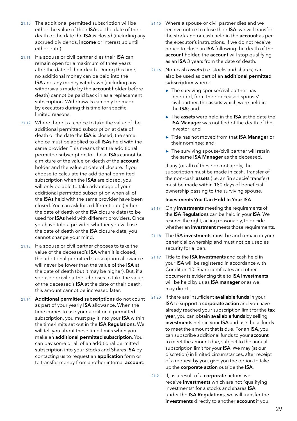- <span id="page-30-0"></span>21.10 The additional permitted subscription will be either the value of their **ISAs** at the date of their death or the date the ISA is closed (including any accrued dividends, income or interest up until either date).
- 21.11 If a spouse or civil partner dies their ISA can remain open for a maximum of three years after the date of their death. During this time, no additional money can be paid into the ISA and any money withdrawn (including any withdrawals made by the **account** holder before death) cannot be paid back in as a replacement subscription. Withdrawals can only be made by executors during this time for specific limited reasons.
- 21.12 Where there is a choice to take the value of the additional permitted subscription at date of death or the date the ISA is closed, the same choice must be applied to all ISAs held with the same provider. This means that the additional permitted subscription for these ISAs cannot be a mixture of the value on death of the account holder and the value at date of closure. If you choose to calculate the additional permitted subscription when the **ISAs** are closed, you will only be able to take advantage of your additional permitted subscription when all of the ISAs held with the same provider have been closed. You can ask for a different date (either the date of death or the ISA closure date) to be used for ISAs held with different providers. Once you have told a provider whether you will use the date of death or the ISA closure date, you cannot change your mind.
- 21.13 If a spouse or civil partner chooses to take the value of the deceased's ISA when it is closed, the additional permitted subscription allowance will never be lower than the value of the ISA at the date of death (but it may be higher). But, if a spouse or civil partner chooses to take the value of the deceased's ISA at the date of their death, this amount cannot be increased later.
- 21.14 **Additional permitted subscriptions** do not count as part of your yearly **ISA** allowance. When the time comes to use your additional permitted subscription, you must pay it into your ISA within the time-limits set out in the ISA Regulations. We will tell you about these time-limits when you make an additional permitted subscription. You can pay some or all of an additional permitted subscription into your Stocks and Shares ISA by contacting us to request an application form or to transfer money from another internal **account**.
- 21.15 Where a spouse or civil partner dies and we receive notice to close their ISA, we will transfer the stock and or cash held in the **account** as per the executor's instructions. If we do not receive notice to close an ISA following the death of the account holder, the account will stop qualifying as an ISA 3 years from the date of death.
- 21.16 Non-cash assets (i.e. stocks and shares) can also be used as part of an additional permitted subscription where:
	- **►** The surviving spouse/civil partner has inherited, from their deceased spouse/ civil partner, the assets which were held in the ISA; and
	- **►** The assets were held in the ISA at the date the ISA Manager was notified of the death of the investor; and
	- **►** Title has not moved from that ISA Manager or their nominee; and
	- **►** The surviving spouse/civil partner will retain the same ISA Manager as the deceased.

If any (or all) of these do not apply, the subscription must be made in cash. Transfer of the non-cash assets (i.e. an 'in specie' transfer) must be made within 180 days of beneficial ownership passing to the surviving spouse.

#### Investments You Can Hold In Your ISA

- 21.17 Only investments meeting the requirements of the ISA Regulations can be held in your ISA. We reserve the right, acting reasonably, to decide whether an investment meets those requirements.
- 21.18 The ISA investments must be and remain in your beneficial ownership and must not be used as security for a loan.
- 21.19 Title to the **ISA investments** and cash held in your **ISA** will be registered in accordance with Condition 10. Share certificates and other documents evidencing title to ISA investments will be held by us as ISA manager or as we may direct.
- 21.20 If there are insufficient available funds in your ISA to support a corporate action and you have already reached your subscription limit for the tax year, you can obtain available funds by selling investments held in your ISA and use these funds to meet the amount that is due. For an ISA, you can subscribe additional funds to your account to meet the amount due, subject to the annual subscription limit for your ISA. We may (at our discretion) in limited circumstances, after receipt of a request by you, give you the option to take up the corporate action outside the ISA.
- 21.21 If, as a result of a corporate action, we receive investments which are not "qualifying investments" for a stocks and shares ISA under the ISA Regulations, we will transfer the investments directly to another account if you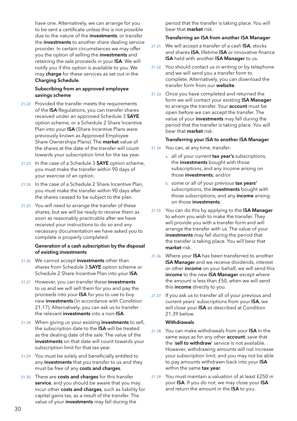<span id="page-31-0"></span>have one. Alternatively, we can arrange for you to be sent a certificate unless this is not possible due to the nature of the investments, or transfer the **investments** to another share dealing service provider. In certain circumstances we may offer you the option of selling the investments and retaining the sale proceeds in your ISA. We will notify you if this option is available to you. We may charge for these services as set out in the Charging Schedule.

## Subscribing from an approved employee savings scheme

- 21.22 Provided the transfer meets the requirements of the ISA Regulations, you can transfer shares received under an approved Schedule 3 SAYE option scheme, or a Schedule 2 Share Incentive Plan into your **ISA** (Share Incentive Plans were previously known as Approved Employee Share Ownerships Plans). The market value of the shares at the date of the transfer will count towards your subscription limit for the tax year.
- 21.23 In the case of a Schedule 3 SAYE option scheme, you must make the transfer within 90 days of your exercise of an option.
- 21.24 In the case of a Schedule 2 Share Incentive Plan, you must make the transfer within 90 days after the shares ceased to be subject to the plan.
- 21.25 You will need to arrange the transfer of these shares, but we will be ready to receive them as soon as reasonably practicable after we have received your instructions to do so and any necessary documentation we have asked you to complete is properly completed.

## Generation of a cash subscription by the disposal of existing investments

- 21.26 We cannot accept investments other than shares from Schedule 3 SAYE option scheme or Schedule 2 Share Incentive Plan into your ISA.
- 21.27 However, you can transfer these **investments** to us and we will sell them for you and pay the proceeds into your ISA for you to use to buy new investments (in accordance with Condition 21.17). Alternatively, you can ask us to transfer the relevant investments into a non-ISA.
- 21.28 When giving us your existing **investments** to sell, the subscription date to the ISA will be treated as the dealing date of the sale. The value of the investments on that date will count towards your subscription limit for that tax year.
- 21.29 You must be solely and beneficially entitled to any **investments** that you transfer to us and they must be free of any costs and charges.
- 21.30 There are costs and charges for this transfer service, and you should be aware that you may incur other costs and charges, such as liability for capital gains tax, as a result of the transfer. The value of your investments may fall during the

period that the transfer is taking place. You will bear that market risk.

## Transferring an ISA from another ISA Manager

- 21.31 We will accept a transfer of a cash ISA, stocks and shares ISA, lifetime ISA or innovative finance **ISA** held with another **ISA Manager** to us.
- 21.32 You should contact us in writing or by telephone and we will send you a transfer form to complete. Alternatively, you can download the transfer form from our website.
- 21.33 Once you have completed and returned the form we will contact your existing ISA Manager to arrange the transfer. Your account must be open before we can accept the transfer. The value of your investments may fall during the period that the transfer is taking place. You will bear that market risk.

## Transferring your ISA to another ISA Manager

- 21.34 You can, at any time, transfer:
	- a. all of your current tax year's subscriptions, the **investments** bought with those subscriptions, and any income arising on those investments; and/or
	- b. some or all of your previous tax years' subscriptions, the investments bought with those subscriptions, and any income arising on those investments.
- 21.35 You can do this by applying to the ISA Manager to whom you wish to make the transfer. They will provide you with a transfer form and will arrange the transfer with us. The value of your investments may fall during the period that the transfer is taking place. You will bear that market risk.
- 21.36 Where your ISA has been transferred to another ISA Manager and we receive dividends, interest or other **income** on your behalf, we will send this income to the new ISA Manager except where the amount is less than £50, when we will send this income directly to you.
- 21.37 If you ask us to transfer all of your previous and current years' subscriptions from your ISA, we will close your **ISA** as described at Condition 21.39 below.

## **Withdrawals**

- 21.38 You can make withdrawals from your ISA in the same ways as for any other **account**, save that the 'sell to withdraw' service is not available. However, withdrawing amounts will not increase your subscription limit, and you may not be able to pay amounts withdrawn back into your ISA within the same tax year.
- 21.39 You must maintain a valuation of at least £250 in your ISA. If you do not, we may close your ISA and return the amount in the ISA to you.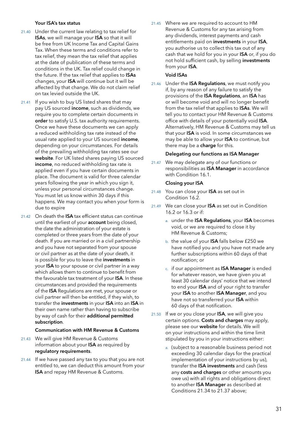## Your ISA's tax status

- 21.40 Under the current law relating to tax relief for ISAs, we will manage your ISA so that it will be free from UK Income Tax and Capital Gains Tax. When these terms and conditions refer to tax relief, they mean the tax relief that applies at the date of publication of these terms and conditions in the UK. Tax relief could change in the future. If the tax relief that applies to ISAs changes, your ISA will continue but it will be affected by that change. We do not claim relief on tax levied outside the UK.
- 21.41 If you wish to buy US listed shares that may pay US sourced income, such as dividends, we require you to complete certain documents in order to satisfy U.S. tax authority requirements. Once we have these documents we can apply a reduced withholding tax rate instead of the usual rate applied to your US sourced income, depending on your circumstances. For details of the prevailing withholding tax rates see our website. For UK listed shares paying US sourced income, no reduced withholding tax rate is applied even if you have certain documents in place. The document is valid for three calendar years following the year in which you sign it, unless your personal circumstances change. You must let us know within 30 days if this happens. We may contact you when your form is due to expire
- 21.42 On death the **ISA** tax efficient status can continue until the earliest of your **account** being closed, the date the administration of your estate is completed or three years from the date of your death. If you are married or in a civil partnership and you have not separated from your spouse or civil partner as at the date of your death, it is possible for you to leave the *investments* in your ISA to your spouse or civil partner in a way which allows them to continue to benefit from the favourable tax treatment of your ISA. In these circumstances and provided the requirements of the ISA Regulations are met, your spouse or civil partner will then be entitled, if they wish, to transfer the investments in your ISA into an ISA in their own name rather than having to subscribe by way of cash for their additional permitted subscription.

## Communication with HM Revenue & Customs

- 21.43 We will give HM Revenue & Customs information about your ISA as required by regulatory requirements.
- 21.44 If we have passed any tax to you that you are not entitled to, we can deduct this amount from your ISA and repay HM Revenue & Customs.

21.45 Where we are required to account to HM Revenue & Customs for any tax arising from any dividends, interest payments and cash entitlements paid on investments in your ISA, you authorise us to collect this tax out of any cash that we hold for you in your ISA or, if you do not hold sufficient cash, by selling investments from your ISA.

## Void ISAs

21.46 Under the ISA Regulations, we must notify you if, by any reason of any failure to satisfy the provisions of the ISA Regulations, an ISA has or will become void and will no longer benefit from the tax relief that applies to **ISAs**. We will tell you to contact your HM Revenue & Customs office with details of your potentially void ISA. Alternatively, HM Revenue & Customs may tell us that your ISA is void. In some circumstances we may be able to allow your ISA to continue, but there may be a charge for this.

## Delegating our functions as ISA Manager

21.47 We may delegate any of our functions or responsibilities as ISA Manager in accordance with Condition 16.1.

## Closing your ISA

- 21.48 You can close your ISA as set out in Condition 16.2.
- 21.49 We can close your ISA as set out in Condition 16.2 or 16.3 or if:
	- a. under the **ISA Regulations**, your **ISA** becomes void, or we are required to close it by HM Revenue & Customs;
	- b. the value of your **ISA** falls below £250 we have notified you and you have not made any further subscriptions within 60 days of that notification; or
	- c. if our appointment as ISA Manager is ended for whatever reason, we have given you at least 30 calendar days' notice that we intend to end your ISA and of your right to transfer your ISA to another ISA Manager, and you have not so transferred your ISA within 60 days of that notification.
- $21.50$  If we or you close your **ISA**, we will give you certain options. Costs and charges may apply, please see our website for details. We will on your instructions and within the time limit stipulated by you in your instructions either:
	- a. (subject to a reasonable business period not exceeding 30 calendar days for the practical implementation of your instructions by us), transfer the ISA investments and cash (less any costs and charges or other amounts you owe us) with all rights and obligations direct to another **ISA Manager** as described at Conditions 21.34 to 21.37 above;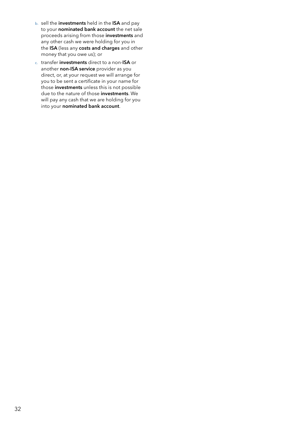- b. sell the investments held in the ISA and pay to your **nominated bank account** the net sale proceeds arising from those investments and any other cash we were holding for you in the ISA (less any costs and charges and other money that you owe us); or
- c. transfer investments direct to a non-ISA or another non-ISA service provider as you direct, or, at your request we will arrange for you to be sent a certificate in your name for those **investments** unless this is not possible due to the nature of those investments. We will pay any cash that we are holding for you into your nominated bank account.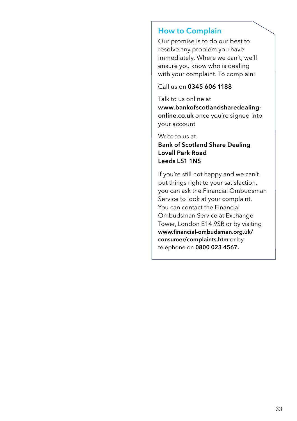## How to Complain

Our promise is to do our best to resolve any problem you have immediately. Where we can't, we'll ensure you know who is dealing with your complaint. To complain:

Call us on 0345 606 1188

Talk to us online at [www.bankofscotlandsharedealing](http://www.bankofscotlandsharedealing-online.co.uk)[online.co.uk](http://www.bankofscotlandsharedealing-online.co.uk) once you're signed into your account

Write to us at Bank of Scotland Share Dealing Lovell Park Road Leeds LS1 1NS

If you're still not happy and we can't put things right to your satisfaction, you can ask the Financial Ombudsman Service to look at your complaint. You can contact the Financial Ombudsman Service at Exchange Tower, London E14 9SR or by visiting www.financial-ombudsman.org.uk/ consumer/complaints.htm or by telephone on 0800 023 4567.